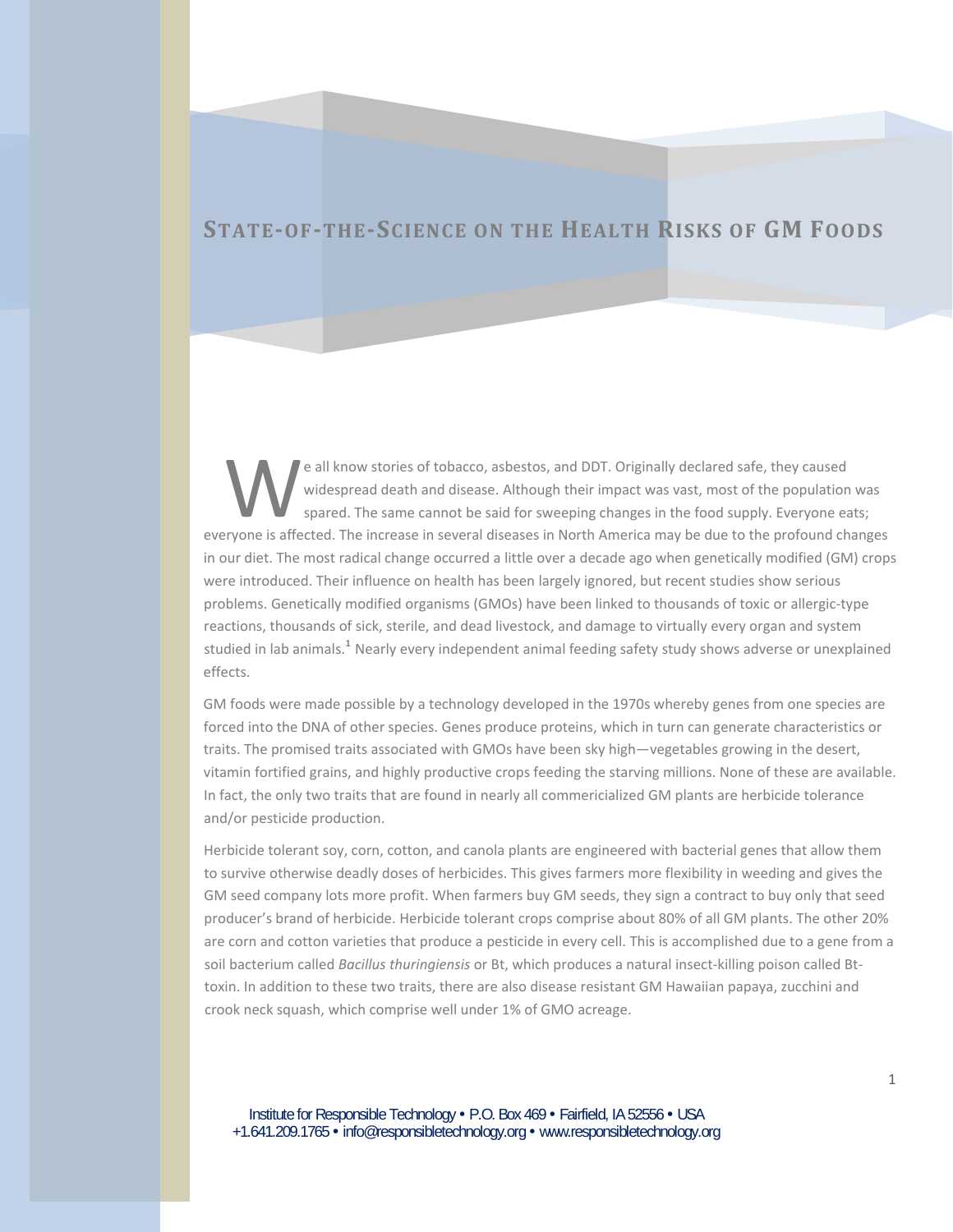#### **STATEOFTHESCIENCE ON THE HEALTH RISKS OF GM FOODS**

e all know stories of tobacco, asbestos, and DDT. Originally declared safe, they caused widespread death and disease. Although their impact was vast, most of the population was spared. The same cannot be said for sweeping changes in the food supply. Everyone eats; everyone is affected. The increase in several diseases in North America may be due to the profound changes in the food supply. Everyone eats, everyone is affected. The increase in several diseases in North America may be d in our diet. The most radical change occurred a little over a decade ago when genetically modified (GM) crops were introduced. Their influence on health has been largely ignored, but recent studies show serious problems. Genetically modified organisms (GMOs) have been linked to thousands of toxic or allergic‐type reactions, thousands of sick, sterile, and dead livestock, and damage to virtually every organ and system studied in lab animals.**[1](#page-22-0)** Nearly every independent animal feeding safety study shows adverse or unexplained effects.

GM foods were made possible by a technology developed in the 1970s whereby genes from one species are forced into the DNA of other species. Genes produce proteins, which in turn can generate characteristics or traits. The promised traits associated with GMOs have been sky high—vegetables growing in the desert, vitamin fortified grains, and highly productive crops feeding the starving millions. None of these are available. In fact, the only two traits that are found in nearly all commericialized GM plants are herbicide tolerance and/or pesticide production.

Herbicide tolerant soy, corn, cotton, and canola plants are engineered with bacterial genes that allow them to survive otherwise deadly doses of herbicides. This gives farmers more flexibility in weeding and gives the GM seed company lots more profit. When farmers buy GM seeds, they sign a contract to buy only that seed producer's brand of herbicide. Herbicide tolerant crops comprise about 80% of all GM plants. The other 20% are corn and cotton varieties that produce a pesticide in every cell. This is accomplished due to a gene from a soil bacterium called *Bacillus thuringiensis* or Bt, which produces a natural insect-killing poison called Bttoxin. In addition to these two traits, there are also disease resistant GM Hawaiian papaya, zucchini and crook neck squash, which comprise well under 1% of GMO acreage.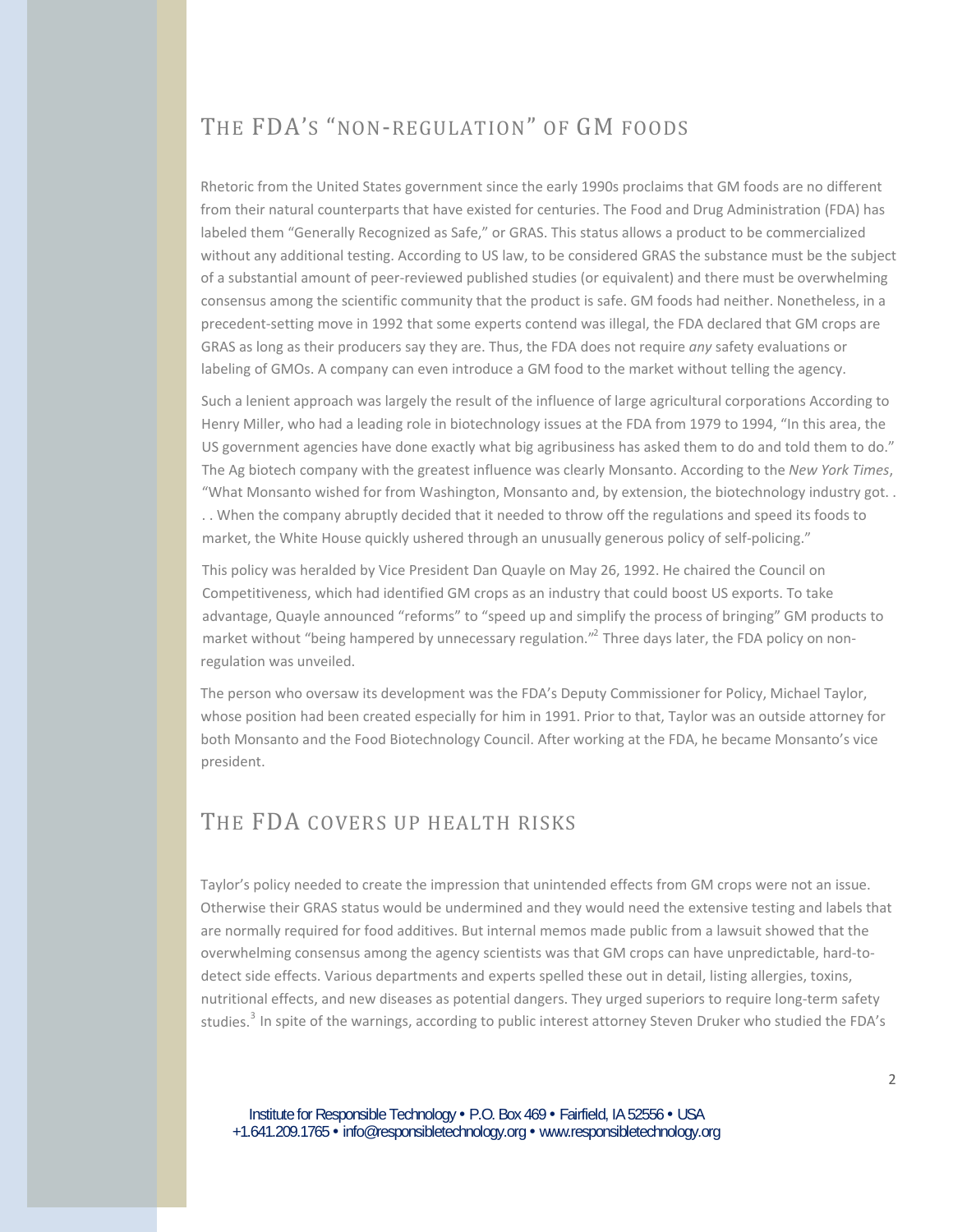# THE FDA'S "NON‐REGULATION" OF GM FOODS

Rhetoric from the United States government since the early 1990s proclaims that GM foods are no different from their natural counterparts that have existed for centuries. The Food and Drug Administration (FDA) has labeled them "Generally Recognized as Safe," or GRAS. This status allows a product to be commercialized without any additional testing. According to US law, to be considered GRAS the substance must be the subject of a substantial amount of peer‐reviewed published studies (or equivalent) and there must be overwhelming consensus among the scientific community that the product is safe. GM foods had neither. Nonetheless, in a precedent-setting move in 1992 that some experts contend was illegal, the FDA declared that GM crops are GRAS as long as their producers say they are. Thus, the FDA does not require *any* safety evaluations or labeling of GMOs. A company can even introduce a GM food to the market without telling the agency.

Such a lenient approach was largely the result of the influence of large agricultural corporations According to Henry Miller, who had a leading role in biotechnology issues at the FDA from 1979 to 1994, "In this area, the US government agencies have done exactly what big agribusiness has asked them to do and told them to do." The Ag biotech company with the greatest influence was clearly Monsanto. According to the *New York Times*, "What Monsanto wished for from Washington, Monsanto and, by extension, the biotechnology industry got. . . . When the company abruptly decided that it needed to throw off the regulations and speed its foods to market, the White House quickly ushered through an unusually generous policy of self-policing."

This policy was heralded by Vice President Dan Quayle on May 26, 1992. He chaired the Council on Competitiveness, which had identified GM crops as an industry that could boost US exports. To take advantage, Quayle announced "reforms" to "speed up and simplify the process of bringing" GM products to market without "being hampered by unnecessary regulation."<sup>2</sup> Three days later, the FDA policy on nonregulation was unveiled.

The person who oversaw its development was the FDA's Deputy Commissioner for Policy, Michael Taylor, whose position had been created especially for him in 1991. Prior to that, Taylor was an outside attorney for both Monsanto and the Food Biotechnology Council. After working at the FDA, he became Monsanto's vice president.

### THE FDA COVERS UP HEALTH RISKS

Taylor's policy needed to create the impression that unintended effects from GM crops were not an issue. Otherwise their GRAS status would be undermined and they would need the extensive testing and labels that are normally required for food additives. But internal memos made public from a lawsuit showed that the overwhelming consensus among the agency scientists was that GM crops can have unpredictable, hard‐to‐ detect side effects. Various departments and experts spelled these out in detail, listing allergies, toxins, nutritional effects, and new diseases as potential dangers. They urged superiors to require long‐term safety studies.<sup>[3](#page-22-1)</sup> In spite of the warnings, according to public interest attorney Steven Druker who studied the FDA's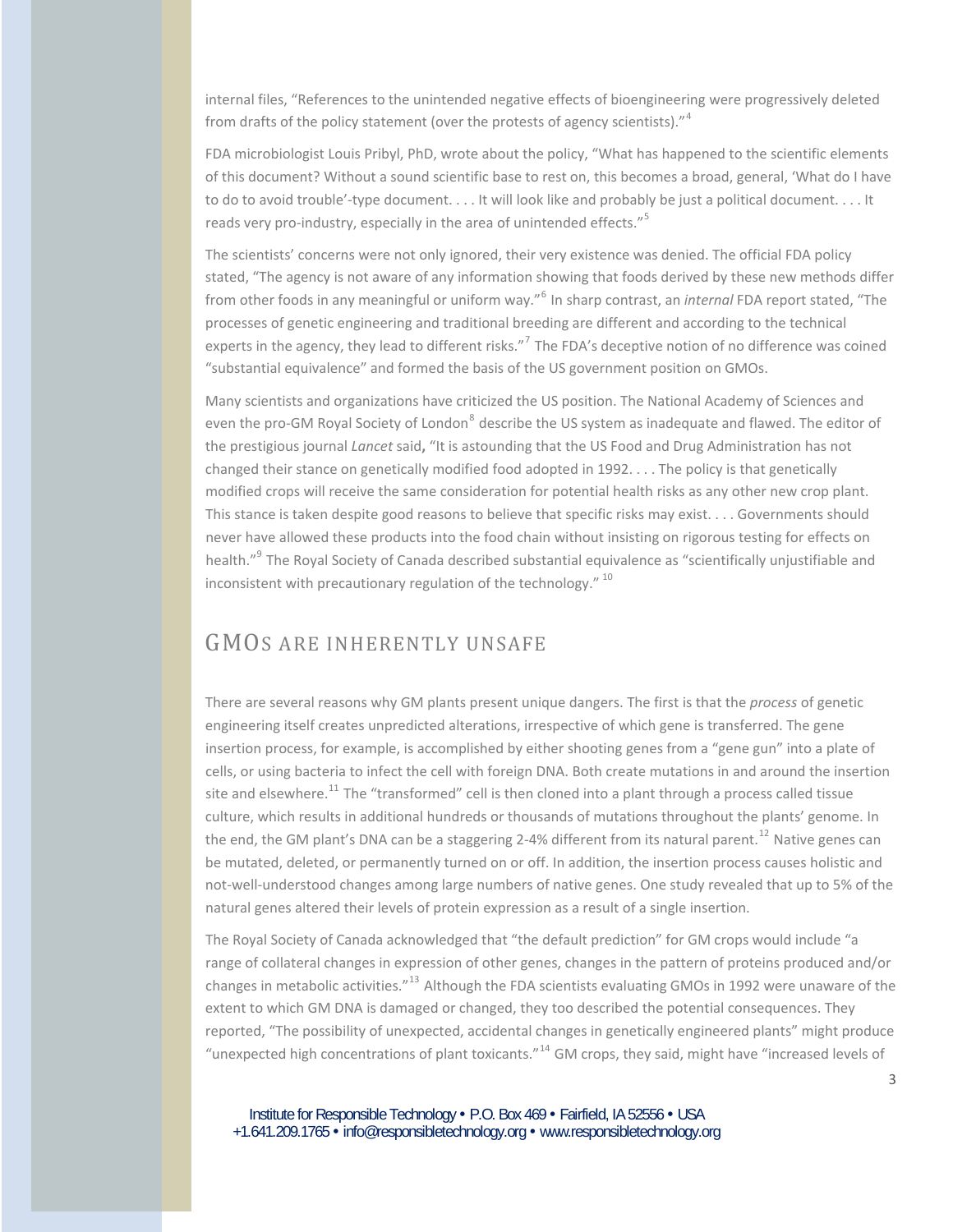internal files, "References to the unintended negative effects of bioengineering were progressively deleted from drafts of the policy statement (over the protests of agency scientists)." $4$ 

FDA microbiologist Louis Pribyl, PhD, wrote about the policy, "What has happened to the scientific elements of this document? Without a sound scientific base to rest on, this becomes a broad, general, 'What do I have to do to avoid trouble'-type document. . . . It will look like and probably be just a political document. . . . It reads very pro-industry, especially in the area of unintended effects."<sup>[5](#page-22-1)</sup>

The scientists' concerns were not only ignored, their very existence was denied. The official FDA policy stated, "The agency is not aware of any information showing that foods derived by these new methods differ from other foods in any meaningful or uniform way."[6](#page-22-1) In sharp contrast, an *internal* FDA report stated, "The processes of genetic engineering and traditional breeding are different and according to the technical experts in the agency, they lead to different risks."<sup>[7](#page-22-1)</sup> The FDA's deceptive notion of no difference was coined "substantial equivalence" and formed the basis of the US government position on GMOs.

Many scientists and organizations have criticized the US position. The National Academy of Sciences and even the pro-GM Royal Society of London<sup>[8](#page-22-1)</sup> describe the US system as inadequate and flawed. The editor of the prestigious journal *Lancet* said**,** "It is astounding that the US Food and Drug Administration has not changed their stance on genetically modified food adopted in 1992. . . . The policy is that genetically modified crops will receive the same consideration for potential health risks as any other new crop plant. This stance is taken despite good reasons to believe that specific risks may exist. . . . Governments should never have allowed these products into the food chain without insisting on rigorous testing for effects on health."<sup>[9](#page-22-1)</sup> The Royal Society of Canada described substantial equivalence as "scientifically unjustifiable and inconsistent with precautionary regulation of the technology."  $10$ 

### GMOS ARE INHERENTLY UNSAFE

There are several reasons why GM plants present unique dangers. The first is that the *process* of genetic engineering itself creates unpredicted alterations, irrespective of which gene is transferred. The gene insertion process, for example, is accomplished by either shooting genes from a "gene gun" into a plate of cells, or using bacteria to infect the cell with foreign DNA. Both create mutations in and around the insertion site and elsewhere.<sup>[11](#page-22-1)</sup> The "transformed" cell is then cloned into a plant through a process called tissue culture, which results in additional hundreds or thousands of mutations throughout the plants' genome. In the end, the GM plant's DNA can be a staggering 2-4% different from its natural parent.<sup>[12](#page-22-1)</sup> Native genes can be mutated, deleted, or permanently turned on or off. In addition, the insertion process causes holistic and not-well-understood changes among large numbers of native genes. One study revealed that up to 5% of the natural genes altered their levels of protein expression as a result of a single insertion.

The Royal Society of Canada acknowledged that "the default prediction" for GM crops would include "a range of collateral changes in expression of other genes, changes in the pattern of proteins produced and/or changes in metabolic activities."[13](#page-22-1) Although the FDA scientists evaluating GMOs in 1992 were unaware of the extent to which GM DNA is damaged or changed, they too described the potential consequences. They reported, "The possibility of unexpected, accidental changes in genetically engineered plants" might produce "unexpected high concentrations of plant toxicants."<sup>[14](#page-22-1)</sup> GM crops, they said, might have "increased levels of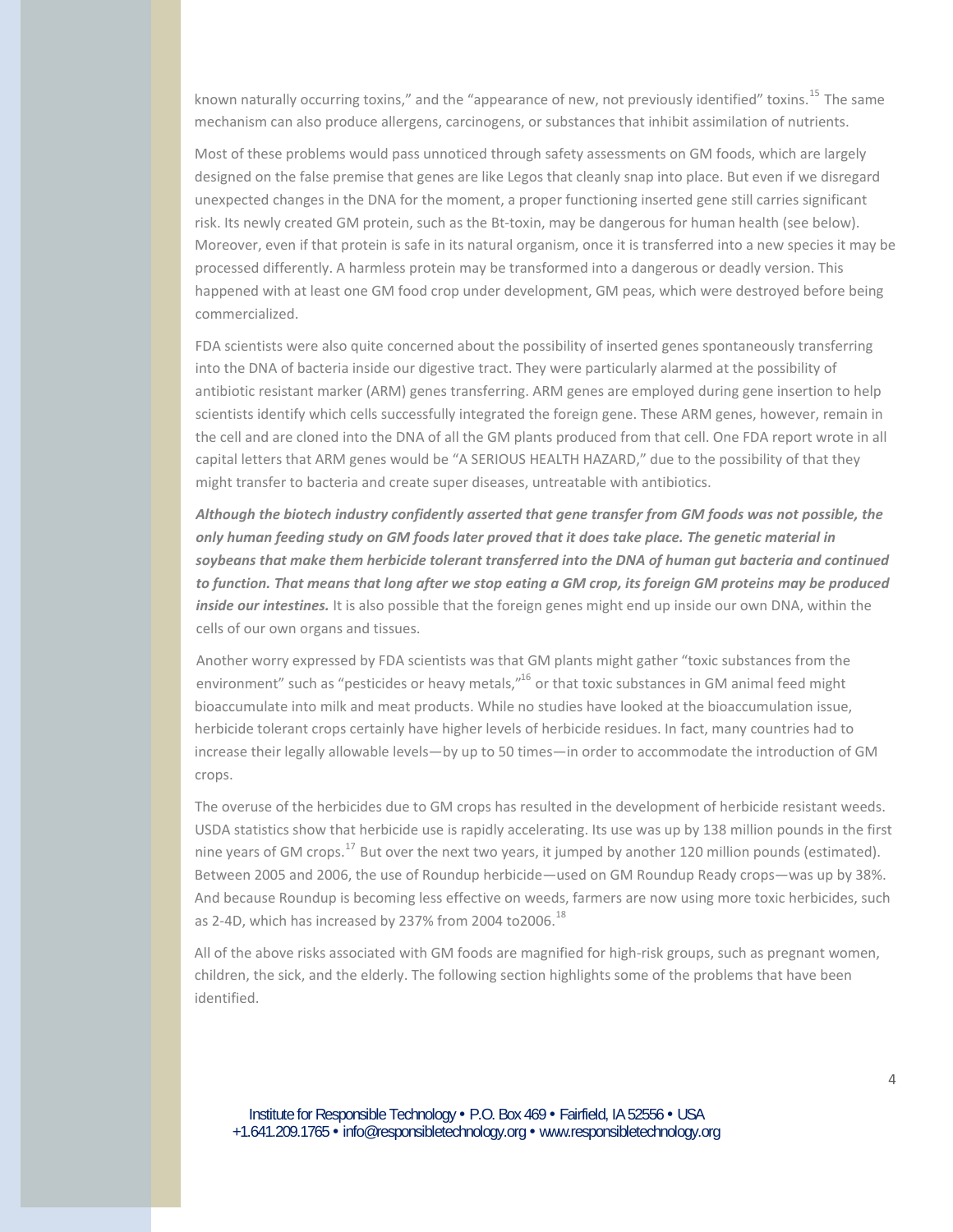known naturally occurring toxins," and the "appearance of new, not previously identified" toxins.<sup>[15](#page-22-1)</sup> The same mechanism can also produce allergens, carcinogens, or substances that inhibit assimilation of nutrients.

Most of these problems would pass unnoticed through safety assessments on GM foods, which are largely designed on the false premise that genes are like Legos that cleanly snap into place. But even if we disregard unexpected changes in the DNA for the moment, a proper functioning inserted gene still carries significant risk. Its newly created GM protein, such as the Bt-toxin, may be dangerous for human health (see below). Moreover, even if that protein is safe in its natural organism, once it is transferred into a new species it may be processed differently. A harmless protein may be transformed into a dangerous or deadly version. This happened with at least one GM food crop under development, GM peas, which were destroyed before being commercialized.

FDA scientists were also quite concerned about the possibility of inserted genes spontaneously transferring into the DNA of bacteria inside our digestive tract. They were particularly alarmed at the possibility of antibiotic resistant marker (ARM) genes transferring. ARM genes are employed during gene insertion to help scientists identify which cells successfully integrated the foreign gene. These ARM genes, however, remain in the cell and are cloned into the DNA of all the GM plants produced from that cell. One FDA report wrote in all capital letters that ARM genes would be "A SERIOUS HEALTH HAZARD," due to the possibility of that they might transfer to bacteria and create super diseases, untreatable with antibiotics.

*Although the biotech industry confidently asserted that gene transfer from GM foods was not possible, the only human feeding study on GM foods later proved that it does take place. The genetic material in soybeans that make them herbicide tolerant transferred into the DNA of human gut bacteria and continued* to function. That means that long after we stop eating a GM crop, its foreign GM proteins may be produced *inside our intestines.* It is also possible that the foreign genes might end up inside our own DNA, within the cells of our own organs and tissues.

Another worry expressed by FDA scientists was that GM plants might gather "toxic substances from the environment" such as "pesticides or heavy metals,"<sup>16</sup> or that toxic substances in GM animal feed might bioaccumulate into milk and meat products. While no studies have looked at the bioaccumulation issue, herbicide tolerant crops certainly have higher levels of herbicide residues. In fact, many countries had to increase their legally allowable levels—by up to 50 times—in order to accommodate the introduction of GM crops.

The overuse of the herbicides due to GM crops has resulted in the development of herbicide resistant weeds. USDA statistics show that herbicide use is rapidly accelerating. Its use was up by 138 million pounds in the first nine years of GM crops.<sup>[17](#page-22-1)</sup> But over the next two years, it jumped by another 120 million pounds (estimated). Between 2005 and 2006, the use of Roundup herbicide—used on GM Roundup Ready crops—was up by 38%. And because Roundup is becoming less effective on weeds, farmers are now using more toxic herbicides, such as 2-4D, which has increased by 237% from 2004 to2006.<sup>[18](#page-23-0)</sup>

All of the above risks associated with GM foods are magnified for high‐risk groups, such as pregnant women, children, the sick, and the elderly. The following section highlights some of the problems that have been identified.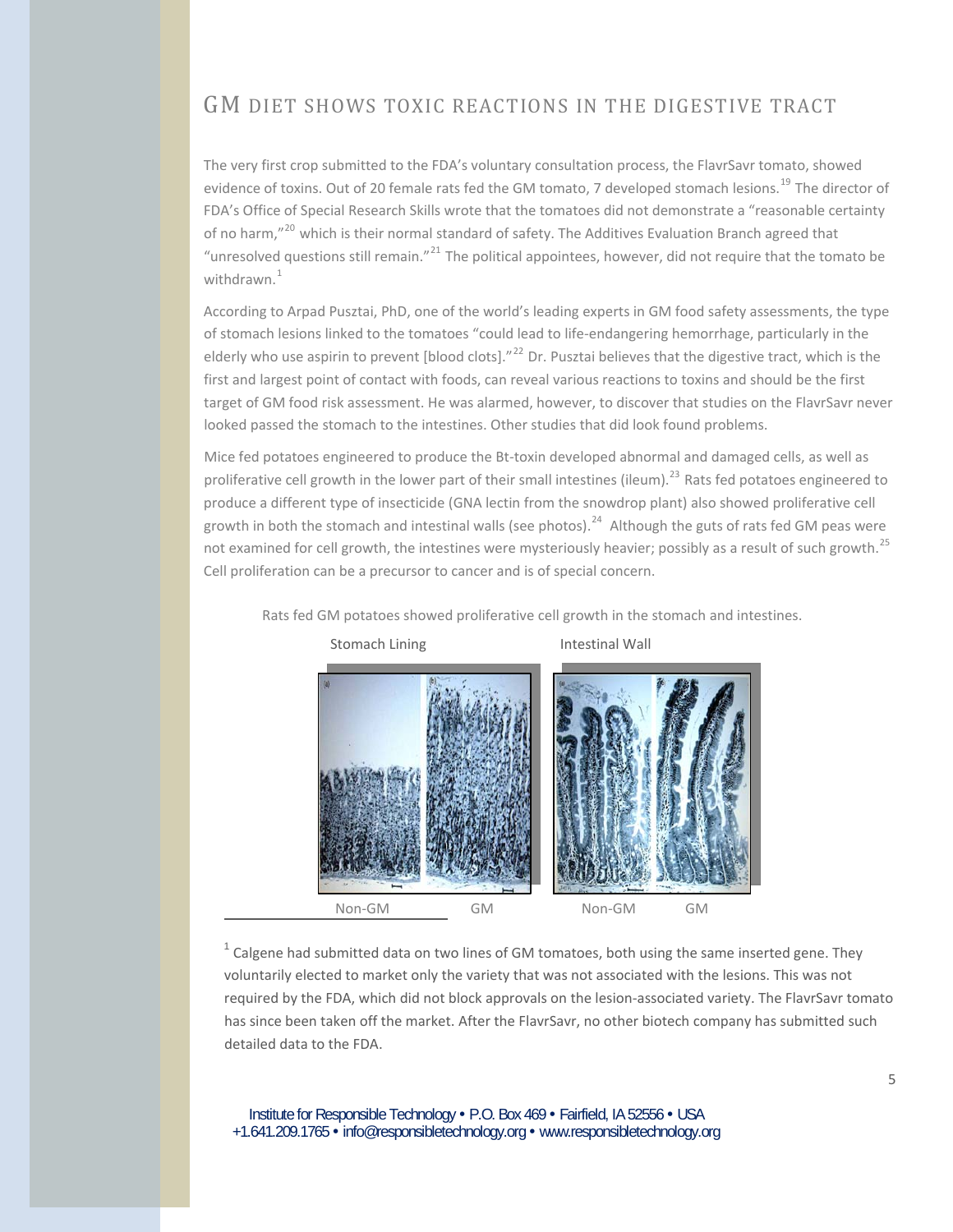# GM DIET SHOWS TOXIC REACTIONS IN THE DIGESTIVE TRACT

The very first crop submitted to the FDA's voluntary consultation process, the FlavrSavr tomato, showed evidence of toxins. Out of 20 female rats fed the GM tomato, 7 developed stomach lesions.<sup>[19](#page-23-0)</sup> The director of FDA's Office of Special Research Skills wrote that the tomatoes did not demonstrate a "reasonable certainty of no harm,"<sup>[20](#page-23-0)</sup> which is their normal standard of safety. The Additives Evaluation Branch agreed that "unresolved questions still remain."<sup>[21](#page-23-0)</sup> The political appointees, however, did not require that the tomato be withdrawn.<sup>[1](#page-4-0)</sup>

According to Arpad Pusztai, PhD, one of the world's leading experts in GM food safety assessments, the type of stomach lesions linked to the tomatoes "could lead to life‐endangering hemorrhage, particularly in the elderly who use aspirin to prevent [blood clots]."<sup>[22](#page-23-0)</sup> Dr. Pusztai believes that the digestive tract, which is the first and largest point of contact with foods, can reveal various reactions to toxins and should be the first target of GM food risk assessment. He was alarmed, however, to discover that studies on the FlavrSavr never looked passed the stomach to the intestines. Other studies that did look found problems.

Mice fed potatoes engineered to produce the Bt-toxin developed abnormal and damaged cells, as well as proliferative cell growth in the lower part of their small intestines (ileum).<sup>[23](#page-23-0)</sup> Rats fed potatoes engineered to produce a different type of insecticide (GNA lectin from the snowdrop plant) also showed proliferative cell growth in both the stomach and intestinal walls (see photos).<sup>[24](#page-23-0)</sup> Although the guts of rats fed GM peas were not examined for cell growth, the intestines were mysteriously heavier; possibly as a result of such growth.<sup>[25](#page-23-0)</sup> Cell proliferation can be a precursor to cancer and is of special concern.

Rats fed GM potatoes showed proliferative cell growth in the stomach and intestines.



<span id="page-4-0"></span> $<sup>1</sup>$  Calgene had submitted data on two lines of GM tomatoes, both using the same inserted gene. They</sup> voluntarily elected to market only the variety that was not associated with the lesions. This was not required by the FDA, which did not block approvals on the lesion-associated variety. The FlavrSavr tomato has since been taken off the market. After the FlavrSavr, no other biotech company has submitted such detailed data to the FDA.

Institute for Responsible Technology . P.O. Box 469 . Fairfield, IA 52556 . USA +1.641.209.1765 • info@responsibletechnology.org • www.responsibletechnology.org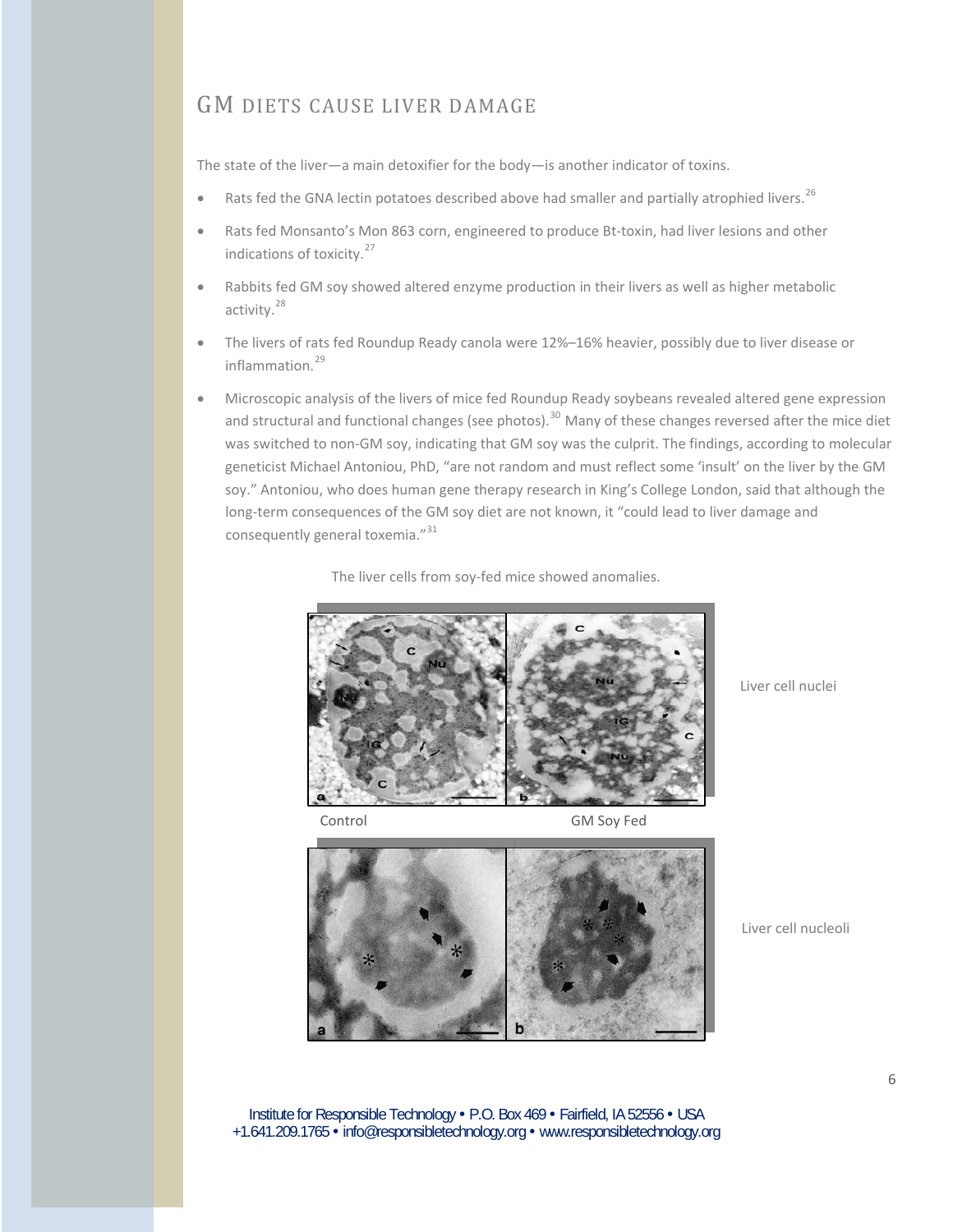# GM DIETS CAUSE LIVER DAMAGE

The state of the liver—a main detoxifier for the body—is another indicator of toxins.

- Rats fed the GNA lectin potatoes described above had smaller and partially atrophied livers.<sup>[26](#page-23-0)</sup>
- Rats fed Monsanto's Mon 863 corn, engineered to produce Bt‐toxin, had liver lesions and other indications of toxicity.<sup>[27](#page-23-0)</sup>
- Rabbits fed GM soy showed altered enzyme production in their livers as well as higher metabolic activity.[28](#page-23-0)
- The livers of rats fed Roundup Ready canola were 12%–16% heavier, possibly due to liver disease or inflammation.<sup>[29](#page-23-0)</sup>
- Microscopic analysis of the livers of mice fed Roundup Ready soybeans revealed altered gene expression and structural and functional changes (see photos).<sup>[30](#page-23-0)</sup> Many of these changes reversed after the mice diet was switched to non-GM soy, indicating that GM soy was the culprit. The findings, according to molecular geneticist Michael Antoniou, PhD, "are not random and must reflect some 'insult' on the liver by the GM soy." Antoniou, who does human gene therapy research in King's College London, said that although the long-term consequences of the GM soy diet are not known, it "could lead to liver damage and consequently general toxemia."<sup>[31](#page-23-0)</sup>

The liver cells from soy-fed mice showed anomalies.



Control GM Soy Fed



Liver cell nucleoli

Liver cell nuclei

Institute for Responsible Technology . P.O. Box 469 . Fairfield, IA 52556 . USA +1.641.209.1765 · info@responsibletechnology.org · www.responsibletechnology.org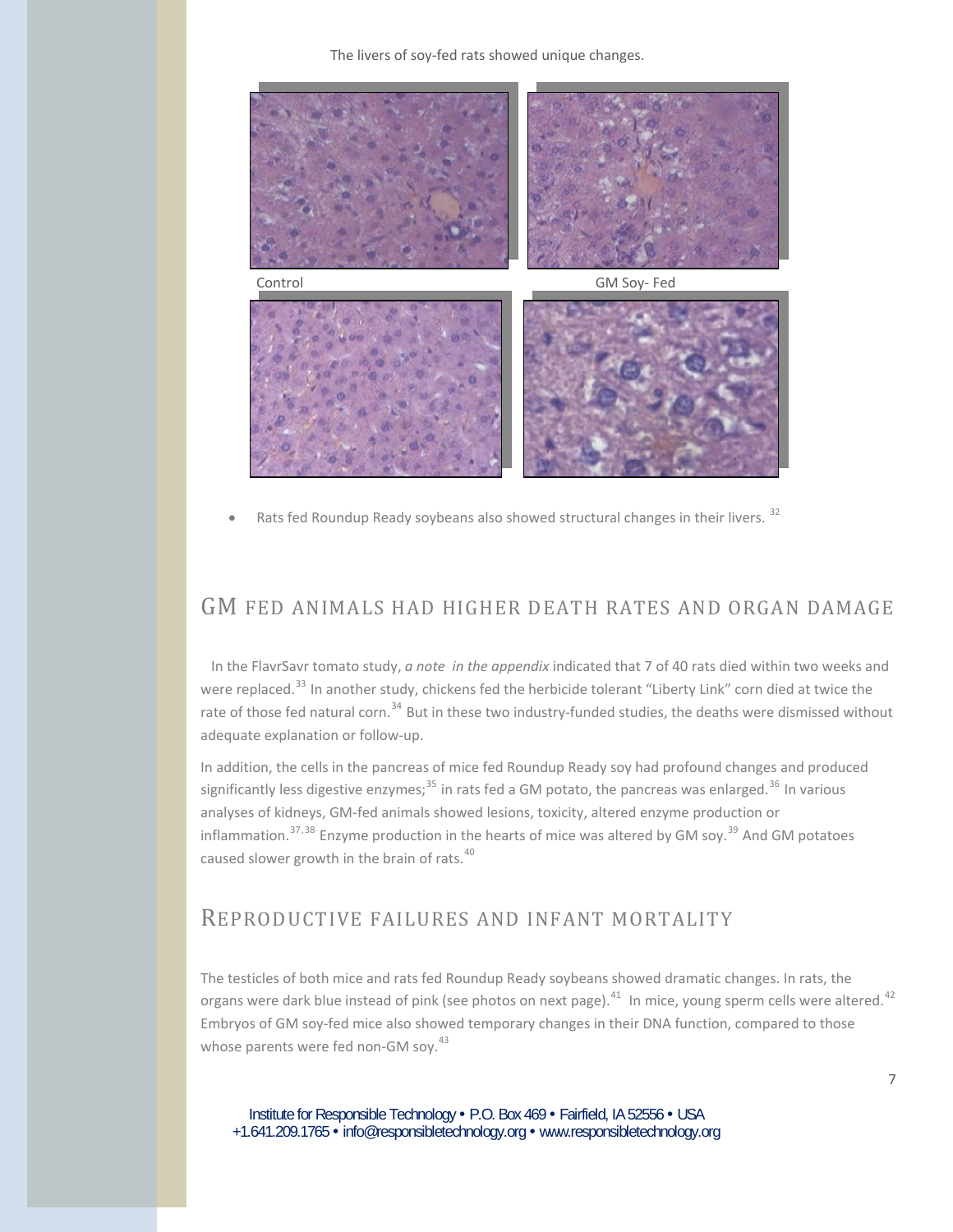The livers of soy-fed rats showed unique changes.



Rats fed Roundup Ready soybeans also showed structural changes in their livers.<sup>[32](#page-23-0)</sup>

#### GM FED ANIMALS HAD HIGHER DEATH RATES AND ORGAN DAMAGE

In the FlavrSavr tomato study, *a note in the appendix* indicated that 7 of 40 rats died within two weeks and were replaced.<sup>[33](#page-23-0)</sup> In another study, chickens fed the herbicide tolerant "Liberty Link" corn died at twice the rate of those fed natural corn.<sup>[34](#page-23-0)</sup> But in these two industry-funded studies, the deaths were dismissed without adequate explanation or follow‐up.

caused slower growth in the brain of rats.<sup>40</sup> In addition, the cells in the pancreas of mice fed Roundup Ready soy had profound changes and produced significantly less digestive enzymes;<sup>[35](#page-23-0)</sup> in rats fed a GM potato, the pancreas was enlarged.<sup>[36](#page-23-0)</sup> In various analyses of kidneys, GM‐fed animals showed lesions, toxicity, altered enzyme production or inflammation.<sup>[37](#page-23-0),[38](#page-23-0)</sup> Enzyme production in the hearts of mice was altered by GM soy.<sup>[39](#page-23-0)</sup> And GM potatoes

#### REPRODUCTIVE FAILURES AND INFANT MORTALITY

The testicles of both mice and rats fed Roundup Ready soybeans showed dramatic changes. In rats, the organs were dark blue instead of pink (see photos on next page).<sup>[41](#page-23-0)</sup> In mice, young sperm cells were altered.<sup>[42](#page-23-0)</sup> Embryos of GM soy‐fed mice also showed temporary changes in their DNA function, compared to those whose parents were fed non-GM soy.<sup>[43](#page-23-0)</sup>

Institute for Responsible Technology . P.O. Box 469 . Fairfield, IA 52556 . USA +1.641.209.1765 • info@responsibletechnology.org • www.responsibletechnology.org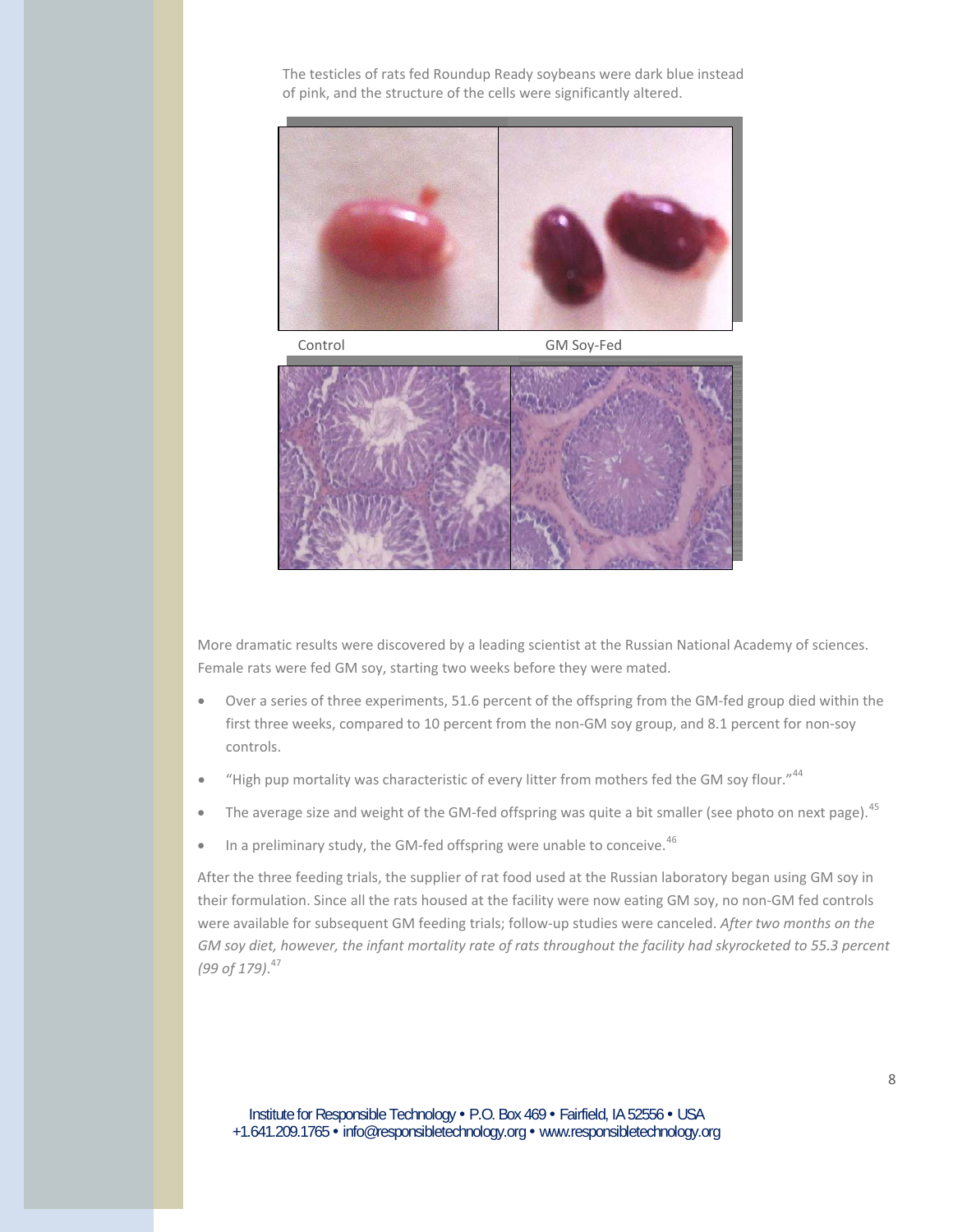The testicles of rats fed Roundup Ready soybeans were dark blue instead of pink, and the structure of the cells were significantly altered.





More dramatic results were discovered by a leading scientist at the Russian National Academy of sciences. Female rats were fed GM soy, starting two weeks before they were mated.

- Over a series of three experiments, 51.6 percent of the offspring from the GM-fed group died within the first three weeks, compared to 10 percent from the non‐GM soy group, and 8.1 percent for non‐soy controls.
- "High pup mortality was characteristic of every litter from mothers fed the GM soy flour."<sup>[44](#page-23-0)</sup>
- The average size and weight of the GM-fed offspring was quite a bit smaller (see photo on next page).  $45$
- In a preliminary study, the GM-fed offspring were unable to conceive.<sup>[46](#page-24-0)</sup>

After the three feeding trials, the supplier of rat food used at the Russian laboratory began using GM soy in their formulation. Since all the rats housed at the facility were now eating GM soy, no non-GM fed controls were available for subsequent GM feeding trials; follow‐up studies were canceled. *After two months on the* GM soy diet, however, the infant mortality rate of rats throughout the facility had skyrocketed to 55.3 percent *(99 of 179)*. [47](#page-24-0)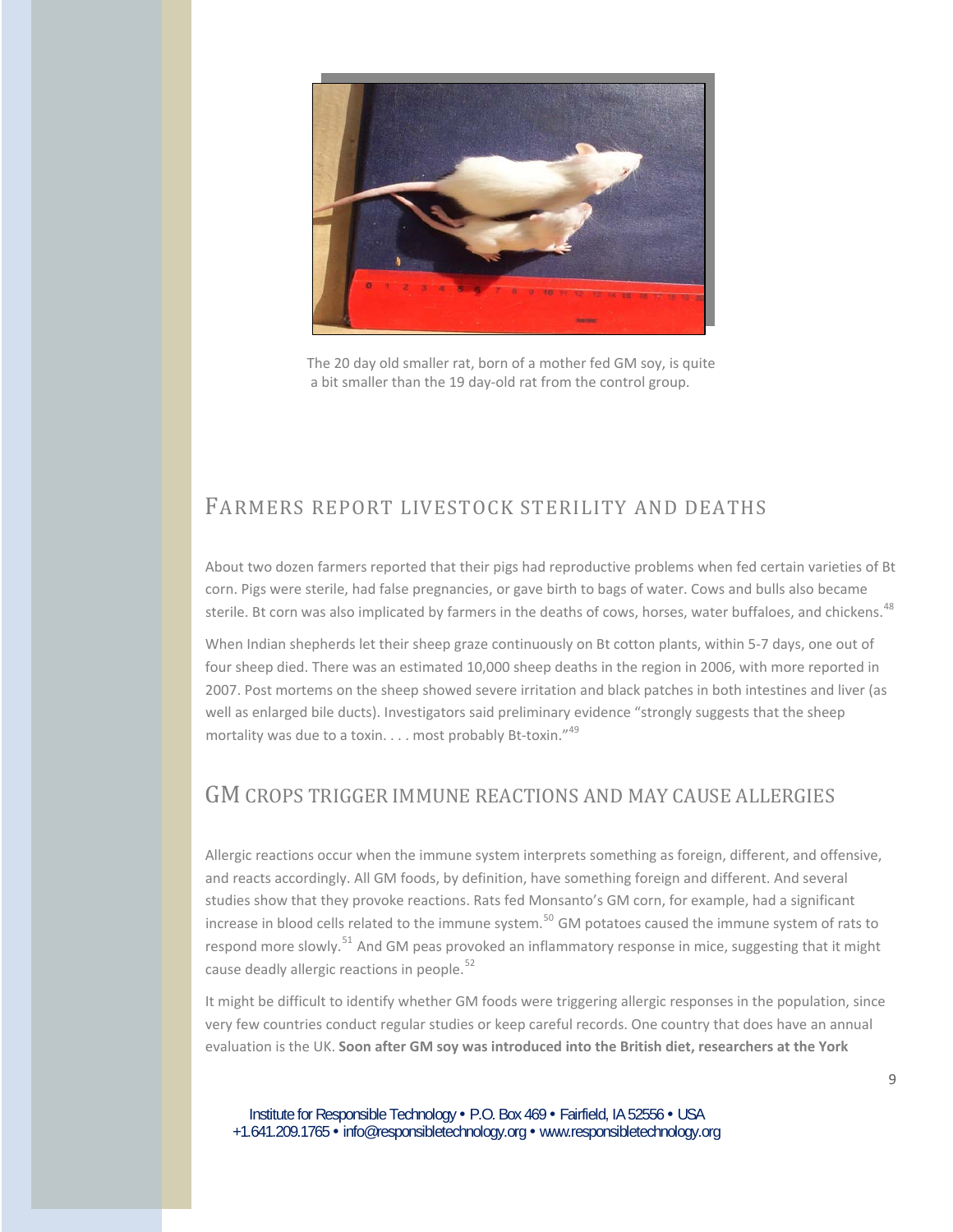

The 20 day old smaller rat, born of a mother fed GM soy, is quite a bit smaller than the 19 day‐old rat from the control group.

# FARMERS REPORT LIVESTOCK STERILITY AND DEATHS

About two dozen farmers reported that their pigs had reproductive problems when fed certain varieties of Bt corn. Pigs were sterile, had false pregnancies, or gave birth to bags of water. Cows and bulls also became sterile. Bt corn was also implicated by farmers in the deaths of cows, horses, water buffaloes, and chickens.<sup>[48](#page-24-0)</sup>

When Indian shepherds let their sheep graze continuously on Bt cotton plants, within 5-7 days, one out of four sheep died. There was an estimated 10,000 sheep deaths in the region in 2006, with more reported in 2007. Post mortems on the sheep showed severe irritation and black patches in both intestines and liver (as well as enlarged bile ducts). Investigators said preliminary evidence "strongly suggests that the sheep mortality was due to a toxin. . . . most probably Bt-toxin."<sup>[49](#page-24-0)</sup>

#### GM CROPS TRIGGER IMMUNE REACTIONS AND MAY CAUSE ALLERGIES

Allergic reactions occur when the immune system interprets something as foreign, different, and offensive, and reacts accordingly. All GM foods, by definition, have something foreign and different. And several studies show that they provoke reactions. Rats fed Monsanto's GM corn, for example, had a significant increase in blood cells related to the immune system.<sup>[50](#page-24-0)</sup> GM potatoes caused the immune system of rats to respond more slowly.<sup>[51](#page-24-0)</sup> And GM peas provoked an inflammatory response in mice, suggesting that it might cause deadly allergic reactions in people.<sup>[52](#page-24-0)</sup>

It might be difficult to identify whether GM foods were triggering allergic responses in the population, since very few countries conduct regular studies or keep careful records. One country that does have an annual evaluation is the UK. **Soon after GM soy was introduced into the British diet, researchers at the York**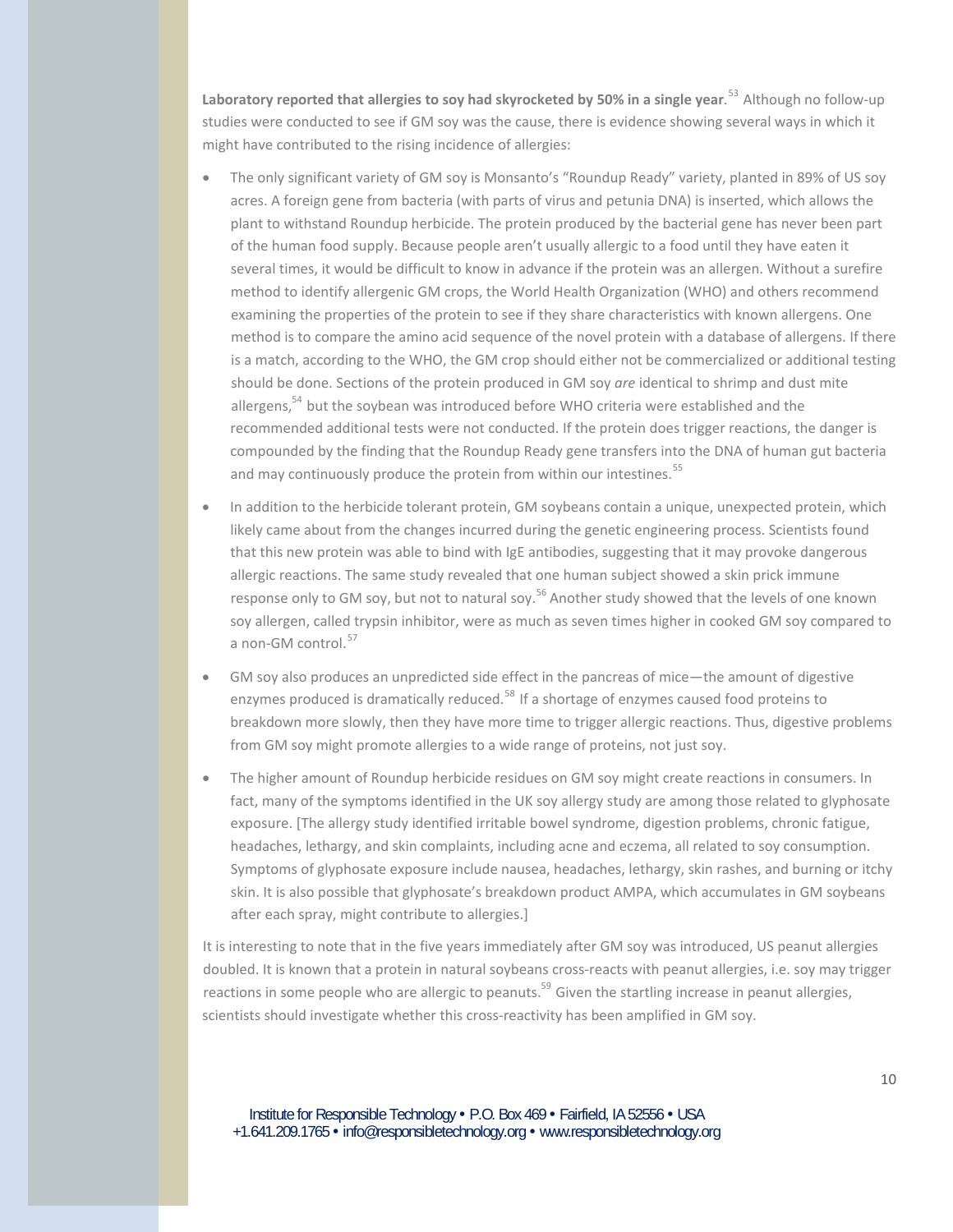**Laboratory reported that allergies to soy had skyrocketed by 50% in a single year**. [53](#page-24-0) Although no follow‐up studies were conducted to see if GM soy was the cause, there is evidence showing several ways in which it might have contributed to the rising incidence of allergies:

- The only significant variety of GM soy is Monsanto's "Roundup Ready" variety, planted in 89% of US soy acres. A foreign gene from bacteria (with parts of virus and petunia DNA) is inserted, which allows the plant to withstand Roundup herbicide. The protein produced by the bacterial gene has never been part of the human food supply. Because people aren't usually allergic to a food until they have eaten it several times, it would be difficult to know in advance if the protein was an allergen. Without a surefire method to identify allergenic GM crops, the World Health Organization (WHO) and others recommend examining the properties of the protein to see if they share characteristics with known allergens. One method is to compare the amino acid sequence of the novel protein with a database of allergens. If there is a match, according to the WHO, the GM crop should either not be commercialized or additional testing should be done. Sections of the protein produced in GM soy *are* identical to shrimp and dust mite allergens.<sup>[54](#page-24-0)</sup> but the soybean was introduced before WHO criteria were established and the recommended additional tests were not conducted. If the protein does trigger reactions, the danger is compounded by the finding that the Roundup Ready gene transfers into the DNA of human gut bacteria and may continuously produce the protein from within our intestines.<sup>[55](#page-24-0)</sup>
- In addition to the herbicide tolerant protein, GM soybeans contain a unique, unexpected protein, which likely came about from the changes incurred during the genetic engineering process. Scientists found that this new protein was able to bind with IgE antibodies, suggesting that it may provoke dangerous allergic reactions. The same study revealed that one human subject showed a skin prick immune response only to GM soy, but not to natural soy.<sup>[56](#page-24-0)</sup> Another study showed that the levels of one known soy allergen, called trypsin inhibitor, were as much as seven times higher in cooked GM soy compared to a non-GM control.<sup>[57](#page-24-0)</sup>
- GM soy also produces an unpredicted side effect in the pancreas of mice—the amount of digestive enzymes produced is dramatically reduced.<sup>[58](#page-24-0)</sup> If a shortage of enzymes caused food proteins to breakdown more slowly, then they have more time to trigger allergic reactions. Thus, digestive problems from GM soy might promote allergies to a wide range of proteins, not just soy.
- The higher amount of Roundup herbicide residues on GM soy might create reactions in consumers. In fact, many of the symptoms identified in the UK soy allergy study are among those related to glyphosate exposure. [The allergy study identified irritable bowel syndrome, digestion problems, chronic fatigue, headaches, lethargy, and skin complaints, including acne and eczema, all related to soy consumption. Symptoms of glyphosate exposure include nausea, headaches, lethargy, skin rashes, and burning or itchy skin. It is also possible that glyphosate's breakdown product AMPA, which accumulates in GM soybeans after each spray, might contribute to allergies.]

It is interesting to note that in the five years immediately after GM soy was introduced, US peanut allergies doubled. It is known that a protein in natural soybeans cross-reacts with peanut allergies, i.e. soy may trigger reactions in some people who are allergic to peanuts.<sup>[59](#page-24-0)</sup> Given the startling increase in peanut allergies, scientists should investigate whether this cross-reactivity has been amplified in GM soy.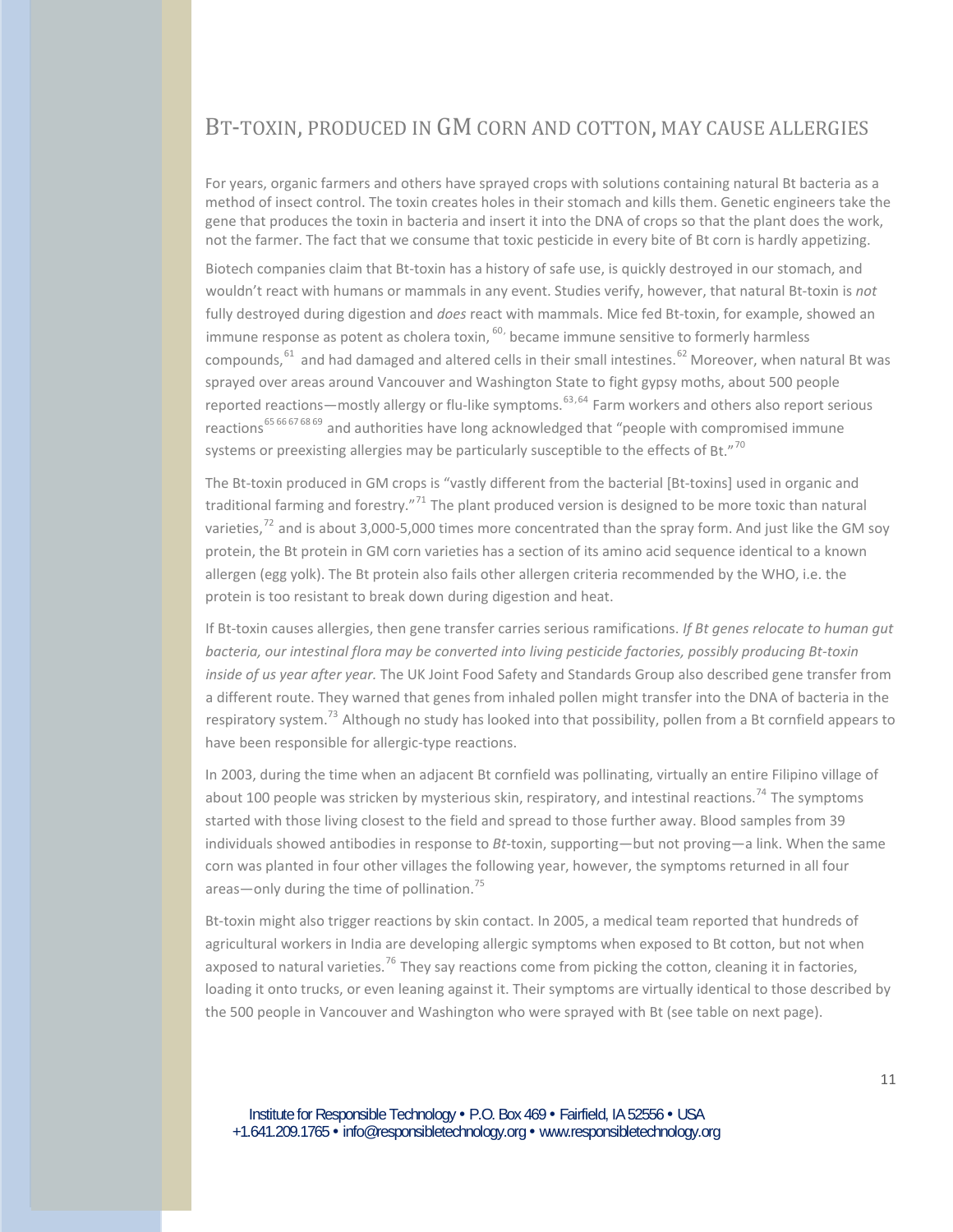#### BT-TOXIN, PRODUCED IN GM CORN AND COTTON, MAY CAUSE ALLERGIES

For years, organic farmers and others have sprayed crops with solutions containing natural Bt bacteria as a method of insect control. The toxin creates holes in their stomach and kills them. Genetic engineers take the gene that produces the toxin in bacteria and insert it into the DNA of crops so that the plant does the work, not the farmer. The fact that we consume that toxic pesticide in every bite of Bt corn is hardly appetizing.

Biotech companies claim that Bt‐toxin has a history of safe use, is quickly destroyed in our stomach, and wouldn't react with humans or mammals in any event. Studies verify, however, that natural Bt‐toxin is *not* fully destroyed during digestion and *does* react with mammals. Mice fed Bt-toxin, for example, showed an immune response as potent as cholera toxin,  $^{60}$  $^{60}$  $^{60}$ , became immune sensitive to formerly harmless compounds, <sup>[61](#page-24-0)</sup> and had damaged and altered cells in their small intestines. <sup>[62](#page-24-0)</sup> Moreover, when natural Bt was systems or preexisting allergies may be particularly susceptible to the effects of Bt."<sup>70</sup> sprayed over areas around Vancouver and Washington State to fight gypsy moths, about 500 people reported reactions—mostly allergy or flu-like symptoms.<sup>[63](#page-24-0),[64](#page-24-0)</sup> Farm workers and others also report serious reactions<sup>[65 66 67 68 69](#page-24-0)</sup> and authorities have long acknowledged that "people with compromised immune

The Bt-toxin produced in GM crops is "vastly different from the bacterial [Bt-toxins] used in organic and traditional farming and forestry."<sup>[71](#page-25-0)</sup> The plant produced version is designed to be more toxic than natural varieties, $^{72}$  $^{72}$  $^{72}$  and is about 3,000-5,000 times more concentrated than the spray form. And just like the GM soy protein, the Bt protein in GM corn varieties has a section of its amino acid sequence identical to a known allergen (egg yolk). The Bt protein also fails other allergen criteria recommended by the WHO, i.e. the protein is too resistant to break down during digestion and heat.

If Bt‐toxin causes allergies, then gene transfer carries serious ramifications. *If Bt genes relocate to human gut bacteria, our intestinal flora may be converted into living pesticide factories, possibly producing Bt‐toxin inside of us year after year.* The UK Joint Food Safety and Standards Group also described gene transfer from a different route. They warned that genes from inhaled pollen might transfer into the DNA of bacteria in the respiratory system.<sup>[73](#page-25-0)</sup> Although no study has looked into that possibility, pollen from a Bt cornfield appears to have been responsible for allergic‐type reactions.

In 2003, during the time when an adjacent Bt cornfield was pollinating, virtually an entire Filipino village of about 100 people was stricken by mysterious skin, respiratory, and intestinal reactions.<sup>[74](#page-25-0)</sup> The symptoms started with those living closest to the field and spread to those further away. Blood samples from 39 individuals showed antibodies in response to *Bt*‐toxin, supporting—but not proving—a link. When the same corn was planted in four other villages the following year, however, the symptoms returned in all four areas—only during the time of pollination.<sup>[75](#page-25-0)</sup>

Bt-toxin might also trigger reactions by skin contact. In 2005, a medical team reported that hundreds of agricultural workers in India are developing allergic symptoms when exposed to Bt cotton, but not when axposed to natural varieties.<sup>[76](#page-25-0)</sup> They say reactions come from picking the cotton, cleaning it in factories, loading it onto trucks, or even leaning against it. Their symptoms are virtually identical to those described by the 500 people in Vancouver and Washington who were sprayed with Bt (see table on next page).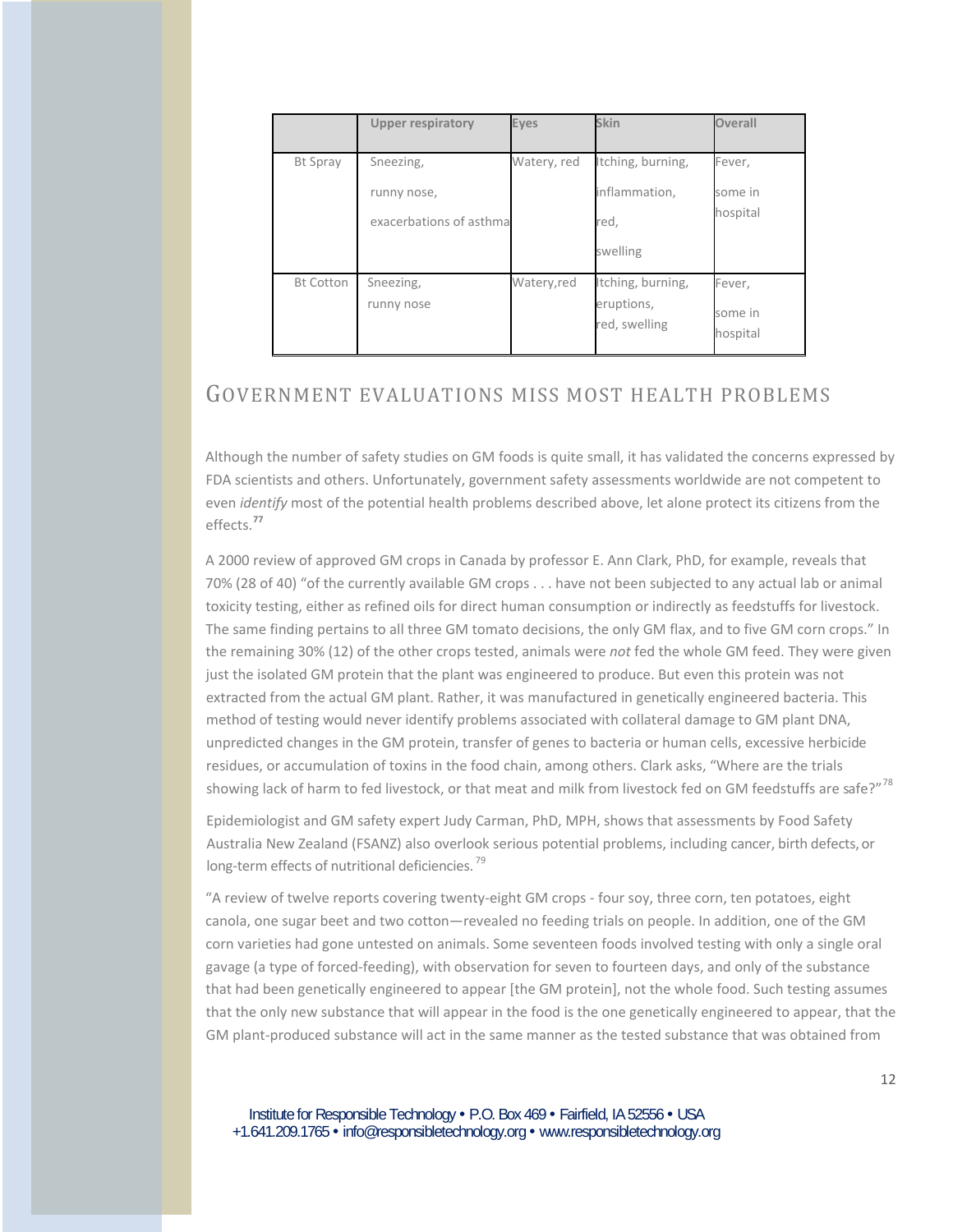|                  | <b>Upper respiratory</b>                            | <b>Eves</b> | Skin                                                   | <b>Overall</b>                |
|------------------|-----------------------------------------------------|-------------|--------------------------------------------------------|-------------------------------|
| <b>Bt Spray</b>  | Sneezing,<br>runny nose,<br>exacerbations of asthma | Watery, red | Itching, burning,<br>inflammation,<br>red,<br>swelling | Fever,<br>some in<br>hospital |
| <b>Bt Cotton</b> | Sneezing,<br>runny nose                             | Watery, red | Itching, burning,<br>eruptions,<br>red, swelling       | Fever,<br>some in<br>hospital |

#### GOVERNMENT EVALUATIONS MISS MOST HEALTH PROBLEMS

Although the number of safety studies on GM foods is quite small, it has validated the concerns expressed by FDA scientists and others. Unfortunately, government safety assessments worldwide are not competent to even *identify* most of the potential health problems described above, let alone protect its citizens from the effects.**[77](#page-25-0)**

A [2000](#page-25-0) review of approved GM crops in Canada by professor E. Ann Clark, PhD, for example, reveals that l 70% (28 of 40) "of the currently available GM crops . . . have not been subjected to any actual lab or anima extracted from the actual GM plant. Rather, it was manufactured in genetically engineered bacteria. This unpredicted changes in the GM protein, transfer of genes to bacteria or human cells, excessive herbicide showing lack of harm to fed livestock, or that meat and milk from livestock fed on GM feedstuffs are safe?"<sup>78</sup> toxicity testing, either as refined oils for direct human consumption or indirectly as feedstuffs for livestock. The same finding pertains to all three GM tomato decisions, the only GM flax, and to five GM corn crops." In the remaining 30% (12) of the other crops tested, animals were *not* fed the whole GM feed. They were given just the isolated GM protein that the plant was engineered to produce. But even this protein was not method of testing would never identify problems associated with collateral damage to GM plant DNA, residues, or accumulation of toxins in the food chain, among others. Clark asks, "Where are the trials

Australia New Zealand (FSANZ) also overlook serious potential problems, including cancer, birth defects, or Epidemiologist and GM safety expert Judy Carman, PhD, MPH, shows that assessments by Food Safety long-term effects of nutritional deficiencies.<sup>[79](#page-25-0)</sup>

"A review of twelve reports [covering](#page-25-0) twenty-eight GM crops - four soy, three corn, ten potatoes, eight corn varieties had gone untested on animals. Some seventeen foods involved testing with only a single oral that had been genetically engineered to appear [the GM protein], not the whole food. Such testing assumes canola, one sugar beet and two cotton—revealed no feeding trials on people. In addition, one of the GM gavage (a type of forced‐feeding), with observation for seven to fourteen days, and only of the substance that the only new substance that will appear in the food is the one genetically engineered to appear, that the GM plant-produced substance will act in the same manner as the tested substance that was obtained from

Institute for Responsible Technology . P.O. Box 469 . Fairfield, IA 52556 . USA +1.641.209.1765 • info@responsibletechnology.org • www.responsibletechnology.org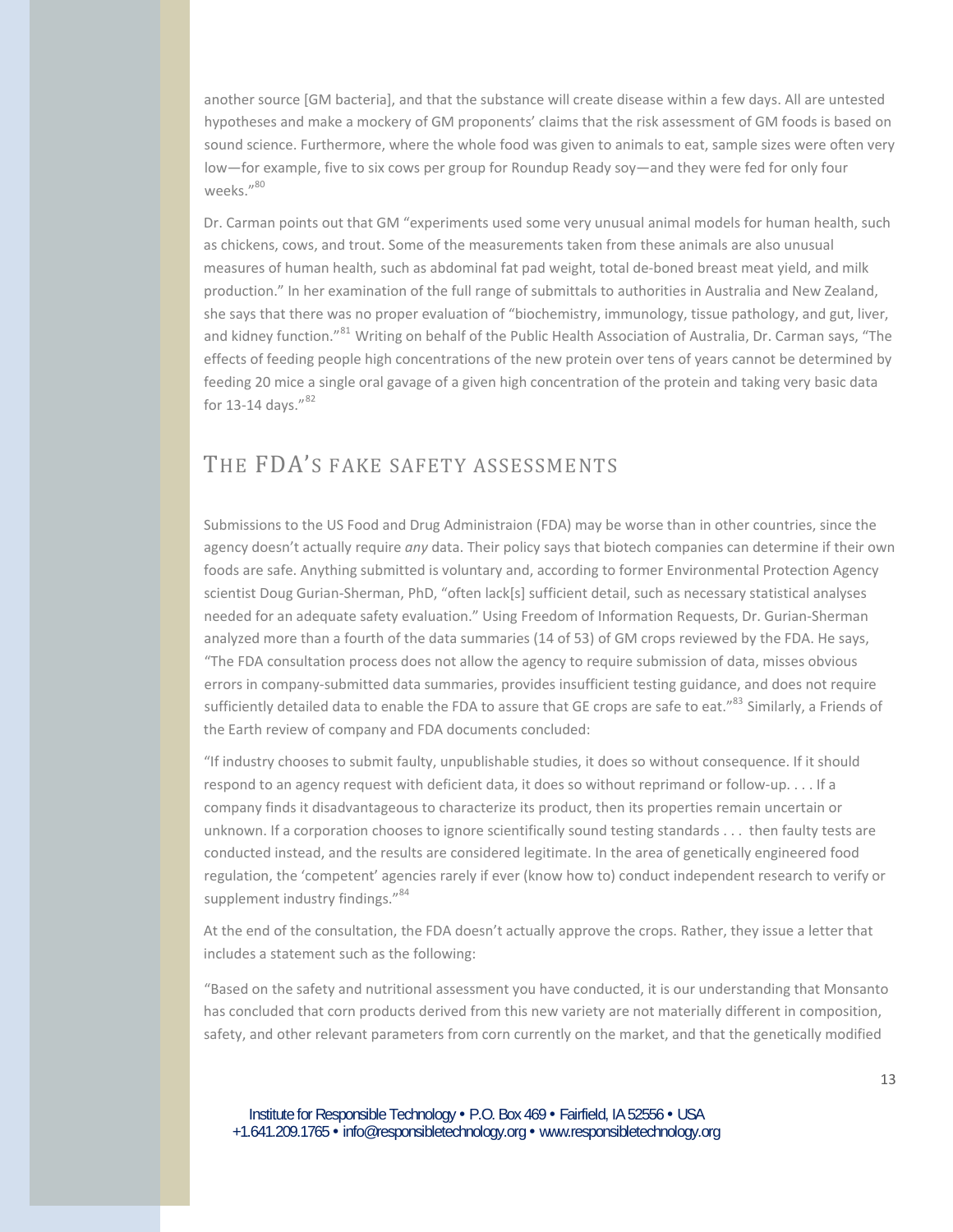another source [GM bacteria], and that the substance will create disease within a few days. All are untested hypotheses and make a mockery of GM proponents' claims that the risk assessment of GM foods is based on sound science. Furthermore, where the whole food was given to animals to eat, sample sizes were often very low—for example, five to six cows per group for Roundup Ready soy—and they were fed for only four weeks."[80](#page-25-0)

Dr. [Carman](#page-25-0) points out that GM "experiments used some very unusual animal models for human health, such measures of human health, such as abdominal fat pad weight, total de-boned breast meat yield, and milk , she says that there was no proper evaluation of "biochemistry, immunology, tissue pathology, and gut, liver as chickens, cows, and trout. Some of the measurements taken from these animals are also unusual production." In her examination of the full range of submittals to authorities in Australia and New Zealand, and kidney function."[81](#page-25-0) Writing on behalf of the Public Health Association of Australia, Dr. Carman says, "The effects of feeding people high concentrations of the new protein over tens of years cannot be determined by feeding 20 mice a single oral gavage of a given high concentration of the protein and taking very basic data for 13-14 days."<sup>[82](#page-25-0)</sup>

### THE FDA'S FAKE SAFETY ASSESSMENTS

Submissions to the US Food and Drug Administraion (FDA) may be worse than in other countries, since the agency doesn't actually require *any* data. Their policy says that biotech companies can determine if their own e errors in company‐submitted data summaries, provides insufficient testing guidance, and does not requir foods are safe. Anything submitted is voluntary and, according to former Environmental Protection Agency scientist Doug Gurian‐Sherman, PhD, "often lack[s] sufficient detail, such as necessary statistical analyses needed for an adequate safety evaluation." Using Freedom of Information Requests, Dr. Gurian‐Sherman analyzed more than a fourth of the data summaries (14 of 53) of GM crops reviewed by the FDA. He says, "The FDA consultation process does not allow the agency to require submission of data, misses obvious sufficiently detailed data to enable the FDA to assure that GE crops are safe to eat."<sup>[83](#page-25-0)</sup> Similarly, a Friends of the Earth review of company and FDA documents concluded:

"If industry chooses to submit faulty, unpublishable studies, it does so without consequence. If it should unknown. If a corporation chooses to ignore scientifically sound testing standards . . . then faulty tests are regulation, the 'competent' agencies rarely if ever (know how to) conduct independent research to verify or respond to an agency request with deficient data, it does so without reprimand or follow-up.... If a company finds it disadvantageous to characterize its product, then its properties remain uncertain or conducted instead, and the results are considered legitimate. In the area of genetically engineered food supplement industry findings."<sup>[84](#page-25-0)</sup>

At the end of the [consultation,](#page-25-0) the FDA doesn't actually approve the crops. Rather, they issue a letter that includes a statement such as the following:

"Based on the safety and nutritional assessment you have conducted, it is our understanding that Monsanto has concluded that corn products derived from this new variety are not materially different in composition, safety, and other relevant parameters from corn currently on the market, and that the genetically modified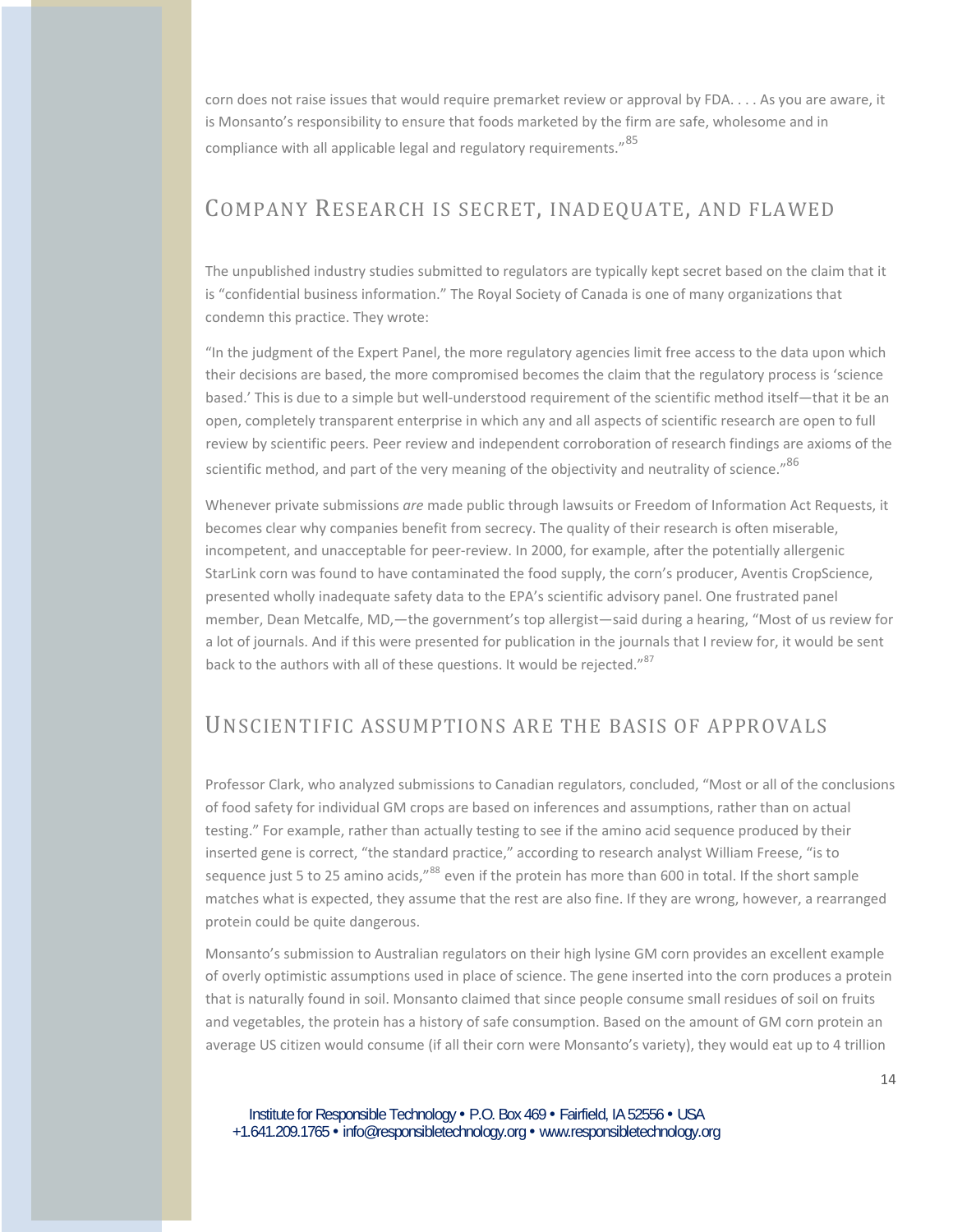corn does not raise issues that would require premarket review or approval by FDA. . . . As you are aware, it is Monsanto's responsibility to ensure that foods marketed by the firm are safe, wholesome and in compliance with all applicable legal and regulatory requirements."[85](#page-25-0)

#### COMPANY RESEARCH IS SECRET, INADEQUATE, AND FLAWED

The unpublished industry studies submitted to regulators are typically kept secret based on the claim that it is "confidential business information." The Royal Society of Canada is one of many organizations that condemn this practice. They wrote:

"In the judgment of the Expert Panel, the more regulatory agencies limit free access to the data upon which review by scientific peers. Peer review and independent corroboration of research findings are axioms of the their decisions are based, the more compromised becomes the claim that the regulatory process is 'science based.' This is due to a simple but well‐understood requirement of the scientific method itself—that it be an open, completely transparent enterprise in which any and all aspects of scientific research are open to full scientific method, and part of the very meaning of the objectivity and neutrality of science."<sup>[86](#page-25-0)</sup>

Whenever private submissions *are* made public through lawsuits or Freedom of Information Act Requests, it StarLink corn was found to have contaminated the food supply, the corn's producer, Aventis CropScience, member, Dean Metcalfe, MD,—the government's top allergist—said during a hearing, "Most of us review for becomes clear why companies benefit from secrecy. The quality of their research is often miserable, incompetent, and unacceptable for peer-review. In 2000, for example, after the potentially allergenic presented wholly inadequate safety data to the EPA's scientific advisory panel. One frustrated panel a lot of journals. And if this were presented for publication in the journals that I review for, it would be sent back to the authors with all of these questions. It would be rejected."<sup>[87](#page-25-0)</sup>

### UNSCIENTIFIC ASSUMPTIONS ARE THE BASIS OF APPROVALS

Professor Clark, who analyzed submissions to Canadian regulators, concluded, "Most or all of the conclusions sequence just 5 to 25 amino acids,"<sup>[88](#page-25-0)</sup> even if the protein has more than 600 in total. If the short sample matches what is expected, they assume that the rest are also fine. If they are wrong, however, a rearranged of food safety for individual GM crops are based on inferences and assumptions, rather than on actual testing." For example, rather than actually testing to see if the amino acid sequence produced by their inserted gene is correct, "the standard practice," according to research analyst William Freese, "is to protein could be quite dangerous.

Monsanto's submission to Australian regulators on their high lysine GM corn provides an excellent example of overly optimistic assumptions used in place of science. The gene inserted into the corn produces a protein that is naturally found in soil. Monsanto claimed that since people consume small residues of soil on fruits and vegetables, the protein has a history of safe consumption. Based on the amount of GM corn protein an average US citizen would consume (if all their corn were Monsanto's variety), they would eat up to 4 trillion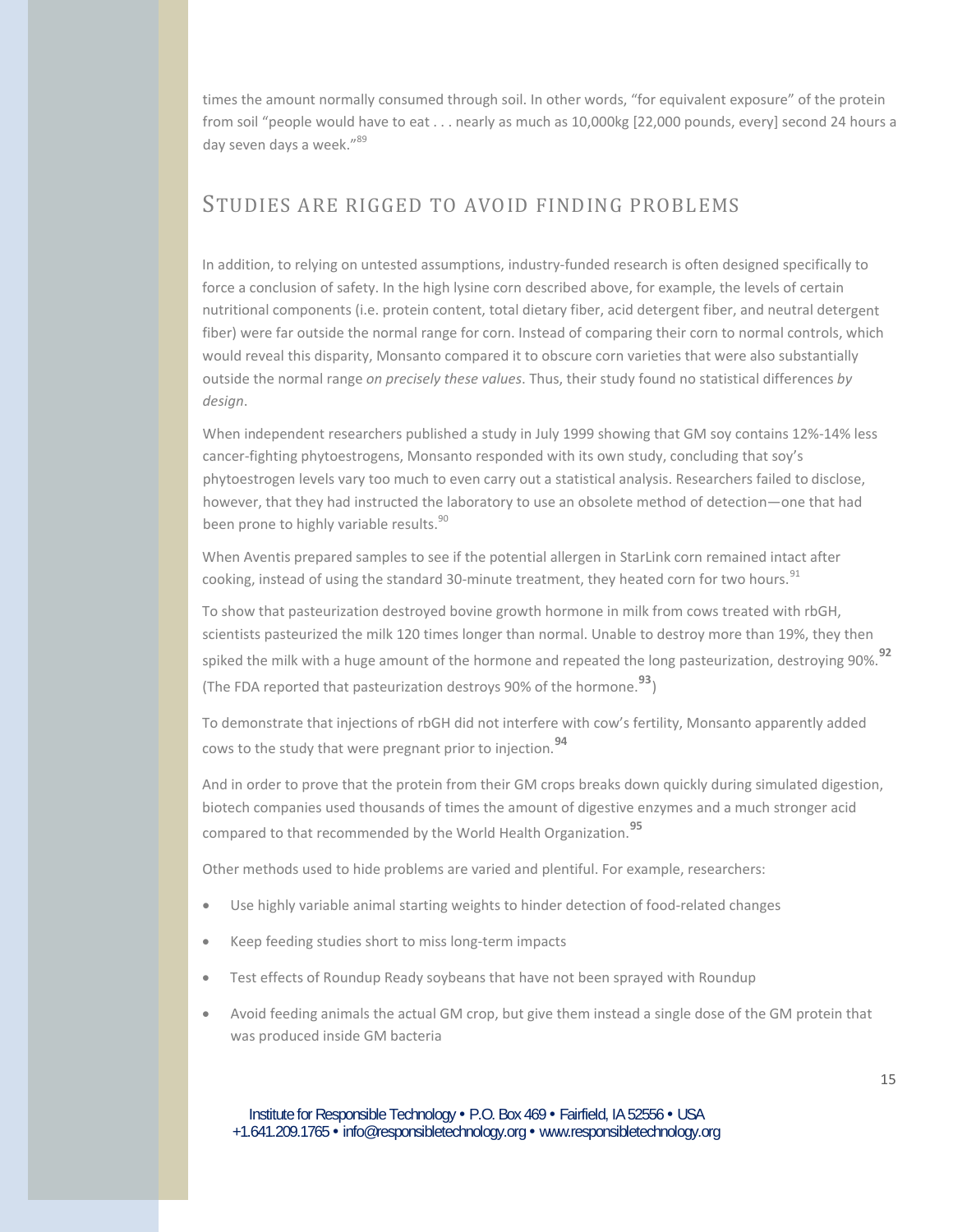times the amount normally consumed through soil. In other words, "for equivalent exposure" of the protein from soil "people would have to eat . . . nearly as much as 10,000kg [22,000 pounds, every] second 24 hours a day seven days a week."<sup>[89](#page-25-0)</sup>

#### STUDIES ARE RIGGED TO AVOID FINDING PROBLEMS

In addition, to relying on untested assumptions, industry-funded research is often designed specifically to nutritional components (i.e. protein content, total dietary fiber, acid detergent fiber, and neutral detergent force a conclusion of safety. In the high lysine corn described above, for example, the levels of certain fiber) were far outside the normal range for corn. Instead of comparing their corn to normal controls, which would reveal this disparity, Monsanto compared it to obscure corn varieties that were also substantially outside the normal range *on precisely these values*. Thus, their study found no statistical differences *by design*.

When independent researchers published a study in July 1999 showing that GM soy contains 12%-14% less phytoestrogen levels vary too much to even carry out a statistical analysis. Researchers failed to disclose, cancer-fighting phytoestrogens, Monsanto responded with its own study, concluding that soy's however, that they had instructed the laboratory to use an obsolete method of detection—one that had been prone to highly variable results.<sup>[90](#page-25-0)</sup>

When Aventis [prepared](#page-25-0) samples to see if the potential allergen in StarLink corn remained intact after cooking, instead of using the standard 30-minute treatment, they heated corn for two hours.<sup>[91](#page-25-0)</sup>

To show that [pasteurization](#page-25-0) destroyed bovine growth hormone in milk from cows treated with rbGH, **92** spiked the milk with a huge amount of the hormone and repeated the long pasteurization, destroying 90%. scientists pasteurized the milk 120 times longer than normal. Unable to destroy more than 19%, they then (The FDA reported that [pasteurization](#page-25-0) destroys 90% of the hormone.**93**[\)](#page-25-0)

To demonstrate that injections of rbGH did not interfere with cow's fertility, Monsanto apparently added cows to the study that were pregnant prior to injection.**[94](#page-26-0)**

And in order to prove that the [protein](#page-26-0) from their GM crops breaks down quickly during simulated digestion, biotech companies used thousands of times the amount of digestive enzymes and a much stronger acid compared to that recommended by the World Health Organization.**[95](#page-26-0)**

Other methods used to hide problems are varied and plentiful. For example, researchers:

- Use highly variable animal starting weights to hinder detection of food‐related changes
- Keep feeding studies short to miss long‐term impacts •
- Test effects of Roundup Ready soybeans that have not been sprayed with Roundup
- Avoid feeding animals the actual GM crop, but give them instead a single dose of the GM protein that was produced inside GM bacteria •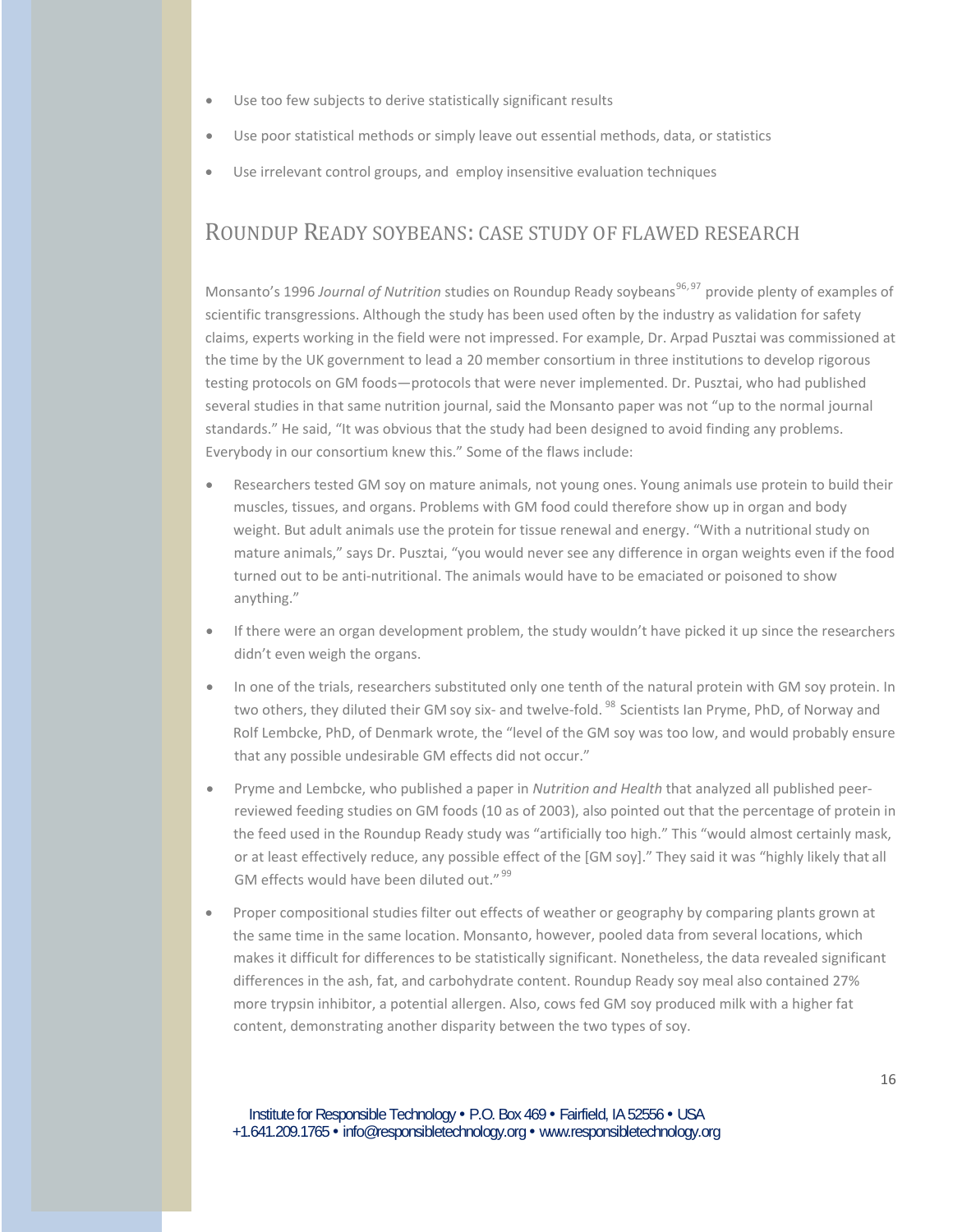- Use too few subjects to derive statistically significant results
- Use poor statistical methods or simply leave out essential methods, data, or statistics
- Use irrelevant control groups, and employ insensitive evaluation techniques

# ROUNDUP READY SOYBEANS: CASE STUDY OF FLAWED RESEARCH

Monsanto's 1996 *Journal of Nutrition* studies on Roundup Ready soybeans<sup>96,97</sup> provide plenty of examples of scientific transgressions. Although the study has been used often by the industry as validation for safety claims, experts working in the field were not impressed. For example, Dr. Arpad Pusztai was commissioned at the time by the UK government to lead a 20 member consortium in three institutions to develop rigorous testing protocols on GM foods—protocols that were never implemented. Dr. Pusztai, who had published several studies in that same nutrition journal, said the Monsanto paper was not "up to the normal journal standards." He said, "It was obvious that the study had been designed to avoid finding any problems. Everybody in our consortium knew this." Some of the flaws include:

- Researchers tested GM soy on mature animals, not young ones. Young animals use protein to build their muscles, tissues, and organs. Problems with GM food could therefore show up in organ and body weight. But adult animals use the protein for tissue renewal and energy. "With a nutritional study on mature animals," says Dr. Pusztai, "you would never see any difference in organ weights even if the food turned out to be anti‐nutritional. The animals would have to be emaciated or poisoned to show anything."
- If there were an organ development problem, the study wouldn't have picked it up since the researchers didn't even weigh the organs.
- two others, they diluted their GM soy six- and twelve-fold. <sup>98</sup> Scientists Ian Pryme, PhD, of Norway and Rolf Lembcke, PhD, of Denmark wrote, the "level of the GM soy was too low, and would probably ensure • In one of the trials, researchers substituted only one tenth of the natural protein with GM soy protein. In that any possible undesirable GM effects did not occur."
- reviewed feeding studies on GM foods (10 as of 2003), also pointed out that the percentage of protein in the feed used in the Roundup Ready study was "artificially too high." This "would almost certainly mask, or at least effectively reduce, any possible effect of the [GM soy]." They said it was "highly likely that all • Pryme and Lembcke, who published a paper in *Nutrition and Health* that analyzed all published peer‐ GM effects would have been diluted out."<sup>[99](#page-26-0)</sup>
- the same time in the same location. [Monsant](#page-26-0)o, however, pooled data from several locations, which makes it difficult for differences to be statistically significant. Nonetheless, the data revealed significant • Proper [compositional](#page-26-0) studies filter out effects of weather or geography by comparing plants grown at differences in the ash, fat, and carbohydrate content. Roundup Ready soy meal also contained 27% more trypsin inhibitor, a potential allergen. Also, cows fed GM soy produced milk with a higher fat content, demonstrating another disparity between the two types of soy.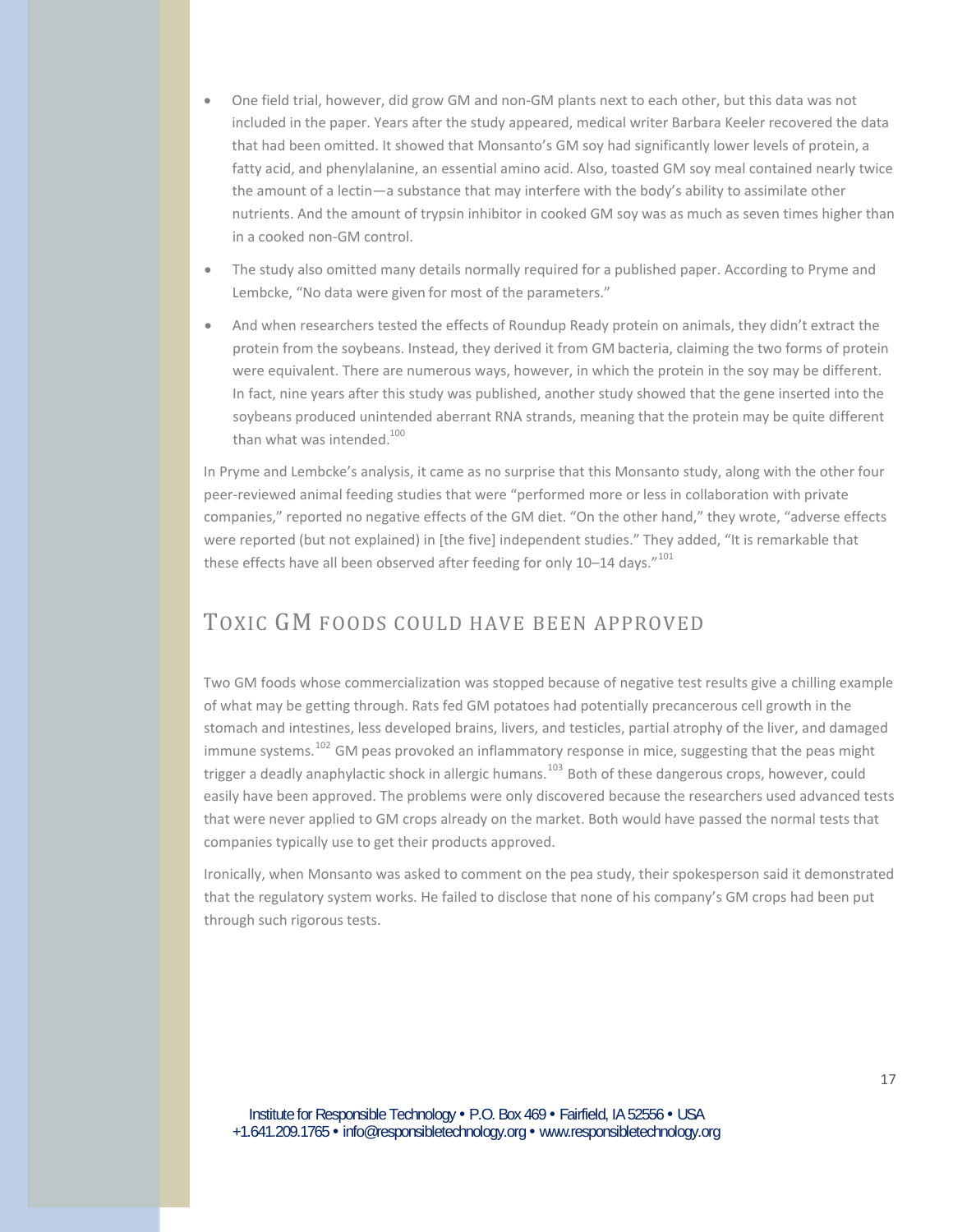- included in the paper. Years after the study appeared, medical writer Barbara Keeler recovered the data that had been omitted. It showed that Monsanto's GM soy had significantly lower levels of protein, a • One field trial, however, did grow GM and non‐GM plants next to each other, but this data was not fatty acid, and phenylalanine, an essential amino acid. Also, toasted GM soy meal contained nearly twice the amount of a lectin—a substance that may interfere with the body's ability to assimilate other nutrients. And the amount of trypsin inhibitor in cooked GM soy was as much as seven times higher than in a cooked non‐GM control.
- Lembcke, "No data were given for most of the parameters." The study also omitted many details normally required for a published paper. According to Pryme and
- protein from the soybeans. Instead, they derived it from GM bacteria, claiming the two forms of protein • And when researchers tested the effects of Roundup Ready protein on animals, they didn't extract the were equivalent. There are numerous ways, however, in which the protein in the soy may be different. In fact, nine years after this study was published, another study showed that the gene inserted into the soybeans produced unintended aberrant RNA strands, meaning that the protein may be quite different than what was intended. $100$

peer-[reviewed](#page-26-0) animal feeding studies that were "performed more or less in collaboration with private In Pryme and [Lembcke's](#page-26-0) analysis, it came as no surprise that this Monsanto study, along with the other four companies," reported no negative effects of the GM diet. "On the other hand," they wrote, "adverse effects were reported (but not explained) in [the five] independent studies." They added, "It is remarkable that these effects have all been observed after feeding for only  $10-14$  days." $101$ 

#### TOXIC GM FOODS COULD HAVE BEEN APPROVED

Two GM foods whose commercialization was stopped because of negative test results give a chilling example of what may be getting through. Rats fed GM potatoes had potentially precancerous cell growth in the easily have been approved. The problems were only discovered because the researchers used advanced tests t that were never applied to GM crops already on the market. Both would have passed the normal tests tha stomach and intestines, less developed brains, livers, and testicles, partial atrophy of the liver, and damaged immune systems.<sup>[102](#page-26-0)</sup> GM peas provoked an inflammatory response in mice, suggesting that the peas might trigger a deadly anaphylactic shock in allergic humans.<sup>[103](#page-26-0)</sup> Both of these dangerous crops, however, could companies typically use to get their products approved.

Ironically, when Monsanto was asked to comment on the pea study, their spokesperson said it demonstrated that the regulatory system works. He failed to disclose that none of his company's GM crops had been put through such rigorous tests.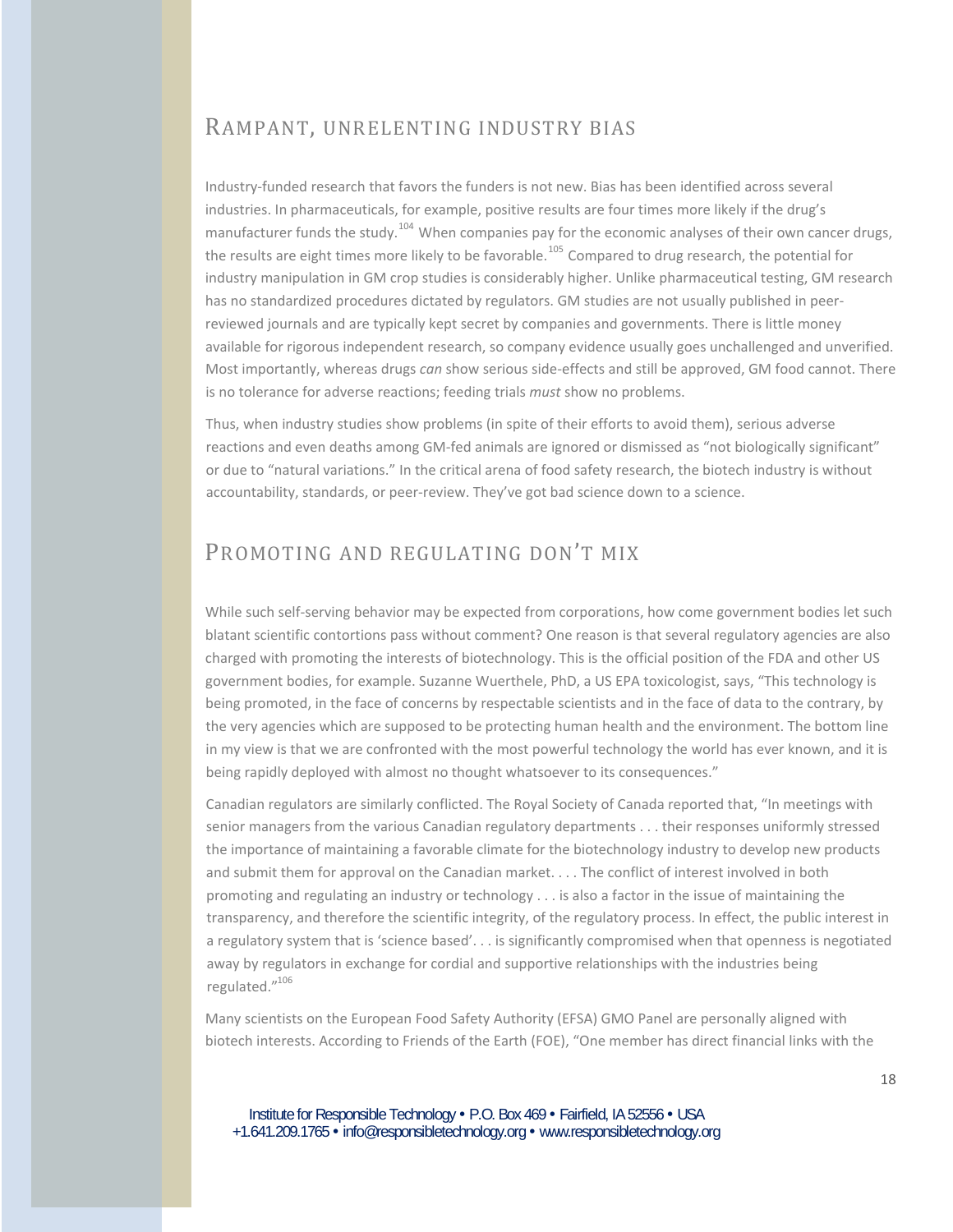#### RAMPANT, UNRELENTING INDUSTRY BIAS

Industry‐funded research that favors the funders is not new. Bias has been identified across several industries. In pharmaceuticals, for example, positive results are four times more likely if the drug's manufacturer funds the study.<sup>[104](#page-26-0)</sup> When companies pay for the economic analyses of their own cancer drugs, the results are eight times more likely to be favorable.<sup>[105](#page-26-0)</sup> Compared to drug research, the potential for industry manipulation in GM crop studies is considerably higher. Unlike pharmaceutical testing, GM research has no standardized procedures dictated by regulators. GM studies are not usually published in peerreviewed journals and are typically kept secret by companies and governments. There is little money available for rigorous independent research, so company evidence usually goes unchallenged and unverified. Most importantly, whereas drugs *can* show serious side‐effects and still be approved, GM food cannot. There is no tolerance for adverse reactions; feeding trials *must* show no problems.

Thus, when industry studies show problems (in spite of their efforts to avoid them), serious adverse reactions and even deaths among GM‐fed animals are ignored or dismissed as "not biologically significant" or due to "natural variations." In the critical arena of food safety research, the biotech industry is without accountability, standards, or peer-review. They've got bad science down to a science.

### PROMOTING AND REGULATING DON'T MIX

While such self-serving behavior may be expected from corporations, how come government bodies let such blatant scientific contortions pass without comment? One reason is that several regulatory agencies are also charged with promoting the interests of biotechnology. This is the official position of the FDA and other US government bodies, for example. Suzanne Wuerthele, PhD, a US EPA toxicologist, says, "This technology is being promoted, in the face of concerns by respectable scientists and in the face of data to the contrary, by the very agencies which are supposed to be protecting human health and the environment. The bottom line in my view is that we are confronted with the most powerful technology the world has ever known, and it is being rapidly deployed with almost no thought whatsoever to its consequences."

Canadian regulators are similarly conflicted. The Royal Society of Canada reported that, "In meetings with senior managers from the various Canadian regulatory departments . . . their responses uniformly stressed the importance of maintaining a favorable climate for the biotechnology industry to develop new products and submit them for approval on the Canadian market. . . . The conflict of interest involved in both promoting and regulating an industry or technology . . . is also a factor in the issue of maintaining the transparency, and therefore the scientific integrity, of the regulatory process. In effect, the public interest in a regulatory system that is 'science based'. . . is significantly compromised when that openness is negotiated away by regulators in exchange for cordial and supportive relationships with the industries being regulated.["106](#page-26-0)

Many scientists on the European Food Safety Authority (EFSA) GMO Panel are personally aligned with biotech interests. According to Friends of the Earth (FOE), "One member has direct financial links with the

Institute for Responsible Technology . P.O. Box 469 . Fairfield, IA 52556 . USA +1.641.209.1765 • info@responsibletechnology.org • www.responsibletechnology.org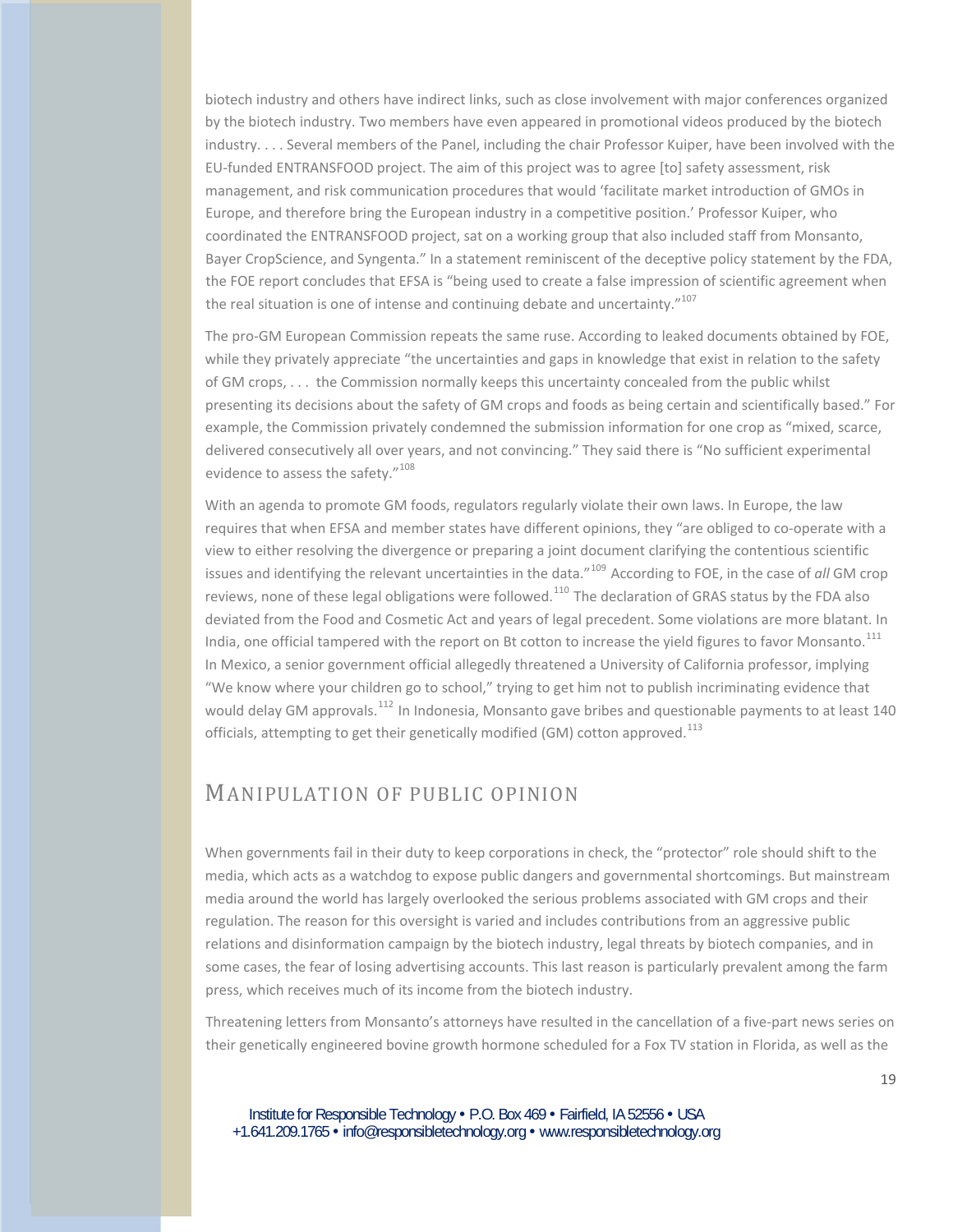biotech industry and others have indirect links, such as close involvement with major conferences organized by the biotech industry. Two members have even appeared in promotional videos produced by the biotech industry. . . . Several members of the Panel, including the chair Professor Kuiper, have been involved with the EU‐funded ENTRANSFOOD project. The aim of this project was to agree [to] safety assessment, risk management, and risk communication procedures that would 'facilitate market introduction of GMOs in Europe, and therefore bring the European industry in a competitive position.' Professor Kuiper, who coordinated the ENTRANSFOOD project, sat on a working group that also included staff from Monsanto, Bayer CropScience, and Syngenta." In a statement reminiscent of the deceptive policy statement by the FDA, the FOE report concludes that EFSA is "being used to create a false impression of scientific agreement when the real situation is one of intense and continuing debate and uncertainty."<sup>[107](#page-26-0)</sup>

The pro-GM European Commission repeats the same ruse. According to leaked documents obtained by FOE, while they privately appreciate "the uncertainties and gaps in knowledge that exist in relation to the safety of GM crops, . . . the Commission normally keeps this uncertainty concealed from the public whilst presenting its decisions about the safety of GM crops and foods as being certain and scientifically based." For example, the Commission privately condemned the submission information for one crop as "mixed, scarce, delivered consecutively all over years, and not convincing." They said there is "No sufficient experimental evidence to assess the safety." $108$ 

With an agenda to promote GM foods, regulators regularly violate their own laws. In Europe, the law requires that when EFSA and member states have different opinions, they "are obliged to co-operate with a view to either resolving the divergence or preparing a joint document clarifying the contentious scientific issues and identifying the relevant uncertainties in the data."[109](#page-26-0) According to FOE, in the case of *all* GM crop reviews, none of these legal obligations were followed.<sup>[110](#page-26-0)</sup> The declaration of GRAS status by the FDA also deviated from the Food and Cosmetic Act and years of legal precedent. Some violations are more blatant. In India, one official tampered with the report on Bt cotton to increase the yield figures to favor Monsanto.<sup>[111](#page-26-0)</sup> In Mexico, a senior government official allegedly threatened a University of California professor, implying "We know where your children go to school," trying to get him not to publish incriminating evidence that would delay GM approvals.<sup>[112](#page-26-0)</sup> In Indonesia, Monsanto gave bribes and questionable payments to at least 140 officials, attempting to get their genetically modified (GM) cotton approved.  $^{113}$  $^{113}$  $^{113}$ 

#### MANIPULATION OF PUBLIC OPINION

When governments fail in their duty to keep corporations in check, the "protector" role should shift to the media, which acts as a watchdog to expose public dangers and governmental shortcomings. But mainstream media around the world has largely overlooked the serious problems associated with GM crops and their regulation. The reason for this oversight is varied and includes contributions from an aggressive public relations and disinformation campaign by the biotech industry, legal threats by biotech companies, and in some cases, the fear of losing advertising accounts. This last reason is particularly prevalent among the farm press, which receives much of its income from the biotech industry.

Threatening letters from Monsanto's attorneys have resulted in the cancellation of a five‐part news series on their genetically engineered bovine growth hormone scheduled for a Fox TV station in Florida, as well as the

Institute for Responsible Technology . P.O. Box 469 . Fairfield, IA 52556 . USA +1.641.209.1765 • info@responsibletechnology.org • www.responsibletechnology.org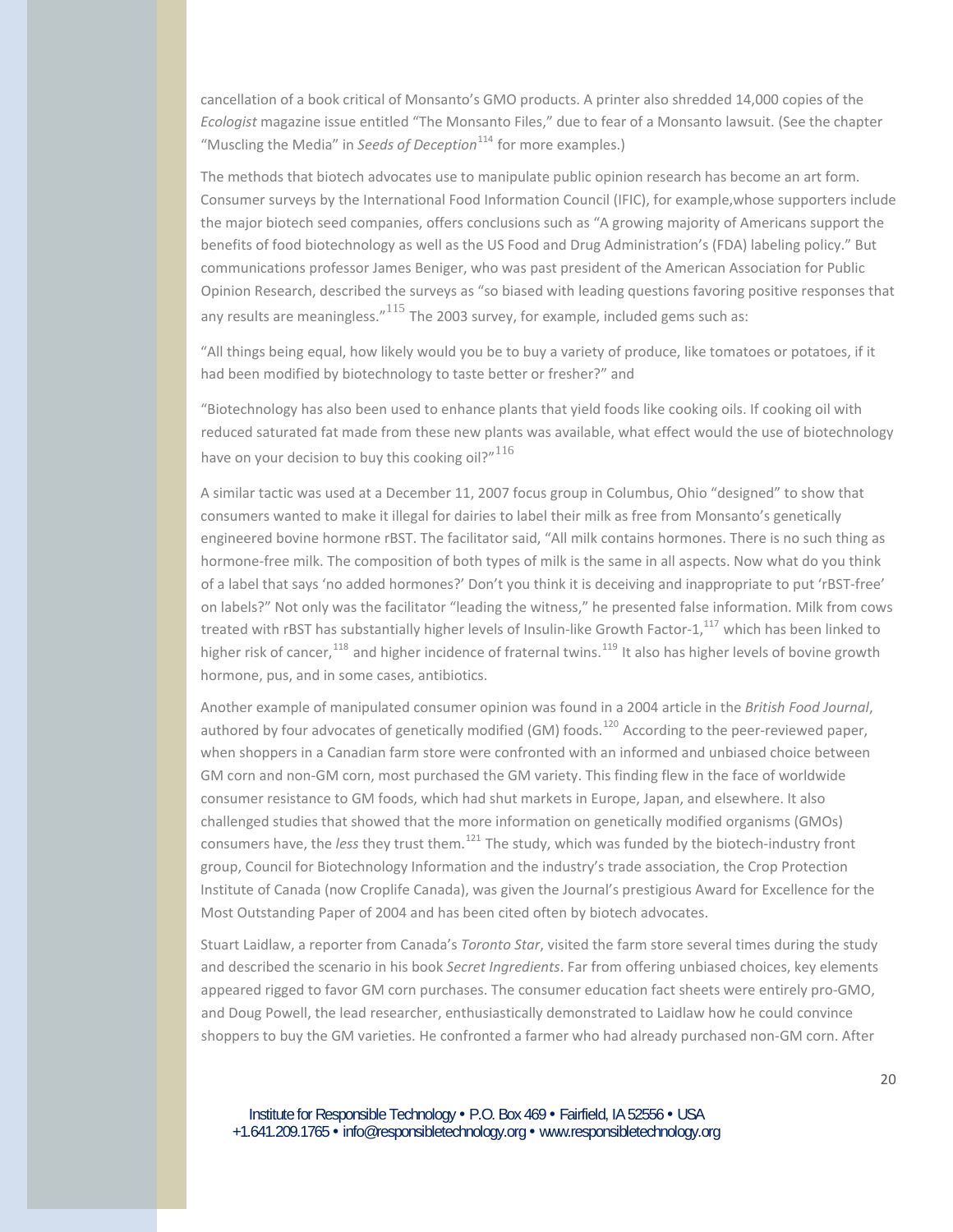cancellation of a book critical of Monsanto's GMO products. A printer also shredded 14,000 copies of the *Ecologist* magazine issue entitled "The Monsanto Files," due to fear of a Monsanto lawsuit. (See the chapter "Muscling the Media" in *Seeds of Deception*<sup>[114](#page-26-0)</sup> for more examples.)

The methods that biotech advocates use to manipulate public opinion research has become an art form. Consumer surveys by the International Food Information Council (IFIC), for example,whose supporters include the major biotech seed companies, offers conclusions such as "A growing majority of Americans support the benefits of food biotechnology as well as the US Food and Drug Administration's (FDA) labeling policy." But communications professor James Beniger, who was past president of the American Association for Public Opinion Research, described the surveys as "so biased with leading questions favoring positive responses that any results are meaningless. $n^{115}$  $n^{115}$  $n^{115}$  The 2003 survey, for example, included gems such as:

"All things being equal, how likely would you be to buy a variety of produce, like tomatoes or potatoes, if it had been modified by biotechnology to taste better or fresher?" and

"Biotechnology has also been used to enhance plants that yield foods like cooking oils. If cooking oil with reduced saturated fat made from these new plants was available, what effect would the use of biotechnology have on your decision to buy this cooking oil?"<sup>[116](#page-26-0)</sup>

A similar tactic was used at a December 11, 2007 focus group in Columbus, Ohio "designed" to show that consumers wanted to make it illegal for dairies to label their milk as free from Monsanto's genetically engineered bovine hormone rBST. The facilitator said, "All milk contains hormones. There is no such thing as hormone-free milk. The composition of both types of milk is the same in all aspects. Now what do you think of a label that says 'no added hormones?' Don't you think it is deceiving and inappropriate to put 'rBST‐free' on labels?" Not only was the facilitator "leading the witness," he presented false information. Milk from cows treated with rBST has substantially higher levels of Insulin-like Growth Factor-1,<sup>[117](#page-26-0)</sup> which has been linked to higher risk of cancer,<sup>[118](#page-26-0)</sup> and higher incidence of fraternal twins.<sup>[119](#page-26-0)</sup> It also has higher levels of bovine growth hormone, pus, and in some cases, antibiotics.

Another example of manipulated consumer opinion was found in a 2004 article in the *British Food Journal*, authored by four advocates of genetically modified (GM) foods.<sup>[120](#page-27-0)</sup> According to the peer-reviewed paper, when shoppers in a Canadian farm store were confronted with an informed and unbiased choice between GM corn and non‐GM corn, most purchased the GM variety. This finding flew in the face of worldwide consumer resistance to GM foods, which had shut markets in Europe, Japan, and elsewhere. It also challenged studies that showed that the more information on genetically modified organisms (GMOs) consumers have, the *less* they trust them.[121](#page-27-0) The study, which was funded by the biotech‐industry front group, Council for Biotechnology Information and the industry's trade association, the Crop Protection Institute of Canada (now Croplife Canada), was given the Journal's prestigious Award for Excellence for the Most Outstanding Paper of 2004 and has been cited often by biotech advocates.

Stuart Laidlaw, a reporter from Canada's *Toronto Star*, visited the farm store several times during the study and described the scenario in his book *Secret Ingredients*. Far from offering unbiased choices, key elements appeared rigged to favor GM corn purchases. The consumer education fact sheets were entirely pro‐GMO, and Doug Powell, the lead researcher, enthusiastically demonstrated to Laidlaw how he could convince shoppers to buy the GM varieties. He confronted a farmer who had already purchased non‐GM corn. After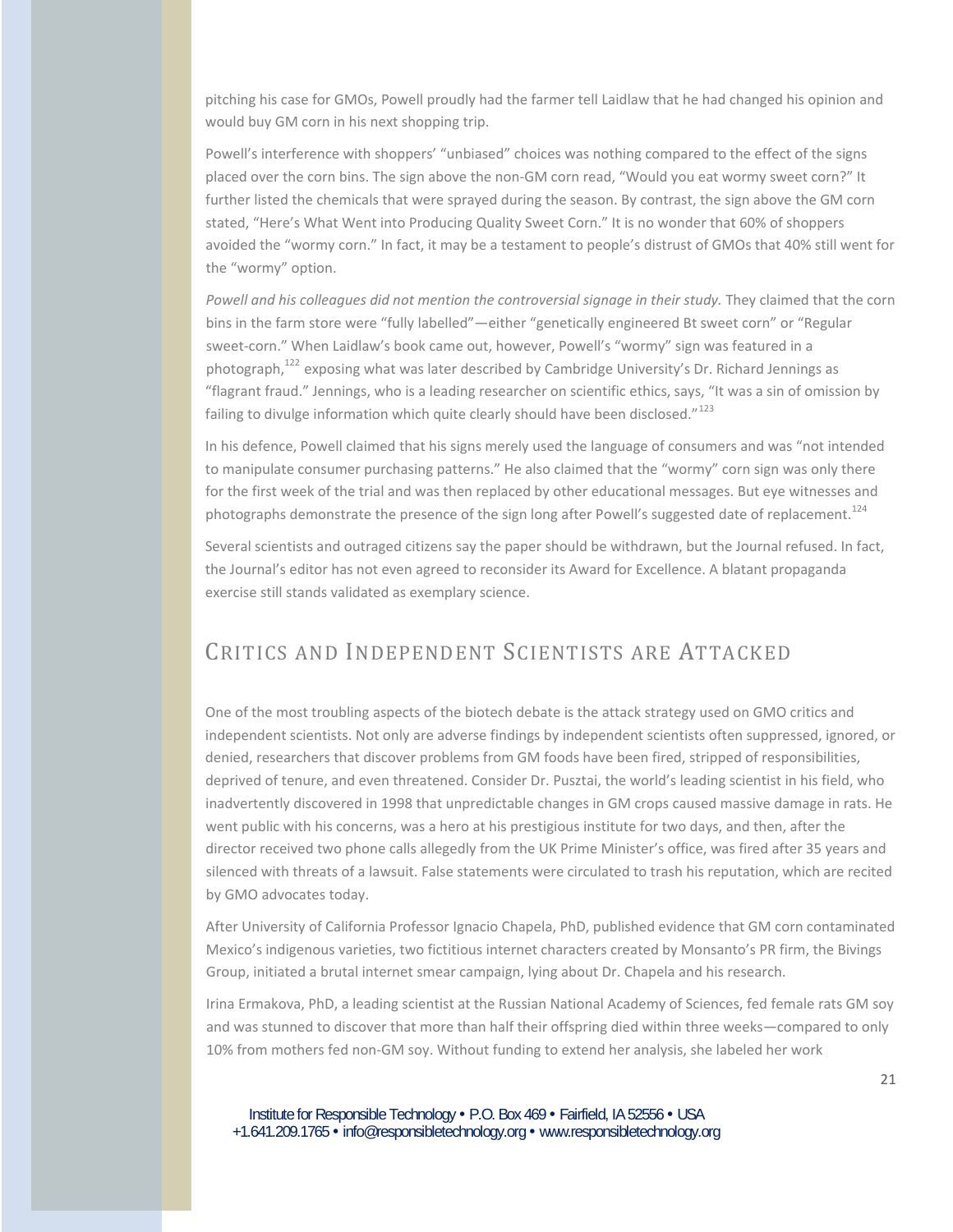pitching his case for GMOs, Powell proudly had the farmer tell Laidlaw that he had changed his opinion and would buy GM corn in his next shopping trip.

Powell's interference with shoppers' "unbiased" choices was nothing compared to the effect of the signs placed over the corn bins. The sign above the non‐GM corn read, "Would you eat wormy sweet corn?" It further listed the chemicals that were sprayed during the season. By contrast, the sign above the GM corn stated, "Here's What Went into Producing Quality Sweet Corn." It is no wonder that 60% of shoppers avoided the "wormy corn." In fact, it may be a testament to people's distrust of GMOs that 40% still went for the "wormy" option.

*Powell and his colleagues did not mention the controversial signage in their study.* They claimed that the corn bins in the farm store were "fully labelled"—either "genetically engineered Bt sweet corn" or "Regular sweet-corn." When Laidlaw's book came out, however, Powell's "wormy" sign was featured in a photograph,<sup>[122](#page-27-0)</sup> exposing what was later described by Cambridge University's Dr. Richard Jennings as "flagrant fraud." Jennings, who is a leading researcher on scientific ethics, says, "It was a sin of omission by failing to divulge information which quite clearly should have been disclosed. $n^{123}$  $n^{123}$  $n^{123}$ 

In his defence, Powell claimed that his signs merely used the language of consumers and was "not intended to manipulate consumer purchasing patterns." He also claimed that the "wormy" corn sign was only there for the first week of the trial and was then replaced by other educational messages. But eye witnesses and photographs demonstrate the presence of the sign long after Powell's suggested date of replacement.<sup>[124](#page-27-0)</sup>

Several scientists and outraged citizens say the paper should be withdrawn, but the Journal refused. In fact, the Journal's editor has not even agreed to reconsider its Award for Excellence. A blatant propaganda exercise still stands validated as exemplary science.

# CRITICS AND INDEPENDENT SCIENTISTS ARE ATTACKED

One of the most troubling aspects of the biotech debate is the attack strategy used on GMO critics and independent scientists. Not only are adverse findings by independent scientists often suppressed, ignored, or denied, researchers that discover problems from GM foods have been fired, stripped of responsibilities, deprived of tenure, and even threatened. Consider Dr. Pusztai, the world's leading scientist in his field, who inadvertently discovered in 1998 that unpredictable changes in GM crops caused massive damage in rats. He went public with his concerns, was a hero at his prestigious institute for two days, and then, after the director received two phone calls allegedly from the UK Prime Minister's office, was fired after 35 years and silenced with threats of a lawsuit. False statements were circulated to trash his reputation, which are recited by GMO advocates today.

After University of California Professor Ignacio Chapela, PhD, published evidence that GM corn contaminated Mexico's indigenous varieties, two fictitious internet characters created by Monsanto's PR firm, the Bivings Group, initiated a brutal internet smear campaign, lying about Dr. Chapela and his research.

Irina Ermakova, PhD, a leading scientist at the Russian National Academy of Sciences, fed female rats GM soy and was stunned to discover that more than half their offspring died within three weeks—compared to only 10% from mothers fed non‐GM soy. Without funding to extend her analysis, she labeled her work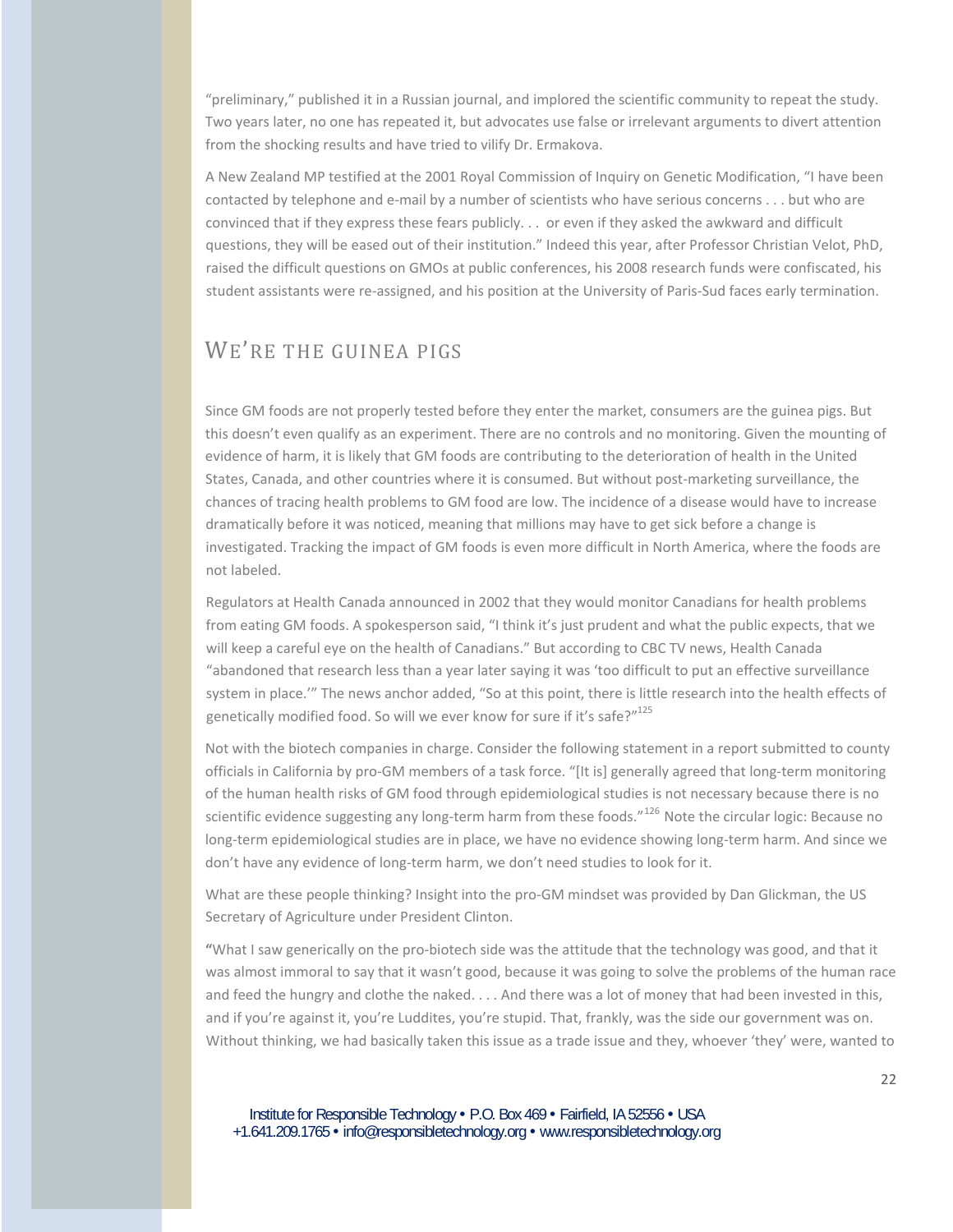"preliminary," published it in a Russian journal, and implored the scientific community to repeat the study. Two years later, no one has repeated it, but advocates use false or irrelevant arguments to divert attention from the shocking results and have tried to vilify Dr. Ermakova.

A New Zealand MP testified at the 2001 Royal Commission of Inquiry on Genetic Modification, "I have been contacted by telephone and e-mail by a number of scientists who have serious concerns . . . but who are convinced that if they express these fears publicly. . . or even if they asked the awkward and difficult questions, they will be eased out of their institution." Indeed this year, after Professor Christian Velot, PhD, raised the difficult questions on GMOs at public conferences, his 2008 research funds were confiscated, his student assistants were re‐assigned, and his position at the University of Paris‐Sud faces early termination.

# WE'RE THE GUINEA PIGS

Since GM foods are not properly tested before they enter the market, consumers are the guinea pigs. But this doesn't even qualify as an experiment. There are no controls and no monitoring. Given the mounting of evidence of harm, it is likely that GM foods are contributing to the deterioration of health in the United States, Canada, and other countries where it is consumed. But without post-marketing surveillance, the chances of tracing health problems to GM food are low. The incidence of a disease would have to increase dramatically before it was noticed, meaning that millions may have to get sick before a change is investigated. Tracking the impact of GM foods is even more difficult in North America, where the foods are not labeled.

Regulators at Health Canada announced in 2002 that they would monitor Canadians for health problems from eating GM foods. A spokesperson said, "I think it's just prudent and what the public expects, that we will keep a careful eye on the health of Canadians." But according to CBC TV news, Health Canada "abandoned that research less than a year later saying it was 'too difficult to put an effective surveillance system in place.'" The news anchor added, "So at this point, there is little research into the health effects of genetically modified food. So will we ever know for sure if it's safe?"<sup>[125](#page-27-0)</sup>

Not with the biotech companies in charge. Consider the following statement in a report submitted to county officials in California by pro‐GM members of a task force. "[It is] generally agreed that long‐term monitoring of the human health risks of GM food through epidemiological studies is not necessary because there is no scientific evidence suggesting any long-term harm from these foods."<sup>[126](#page-27-0)</sup> Note the circular logic: Because no long-term epidemiological studies are in place, we have no evidence showing long-term harm. And since we don't have any evidence of long-term harm, we don't need studies to look for it.

What are these people thinking? Insight into the pro-GM mindset was provided by Dan Glickman, the US Secretary of Agriculture under President Clinton.

**"**What I saw generically on the pro‐biotech side was the attitude that the technology was good, and that it was almost immoral to say that it wasn't good, because it was going to solve the problems of the human race and feed the hungry and clothe the naked. . . . And there was a lot of money that had been invested in this, and if you're against it, you're Luddites, you're stupid. That, frankly, was the side our government was on. Without thinking, we had basically taken this issue as a trade issue and they, whoever 'they' were, wanted to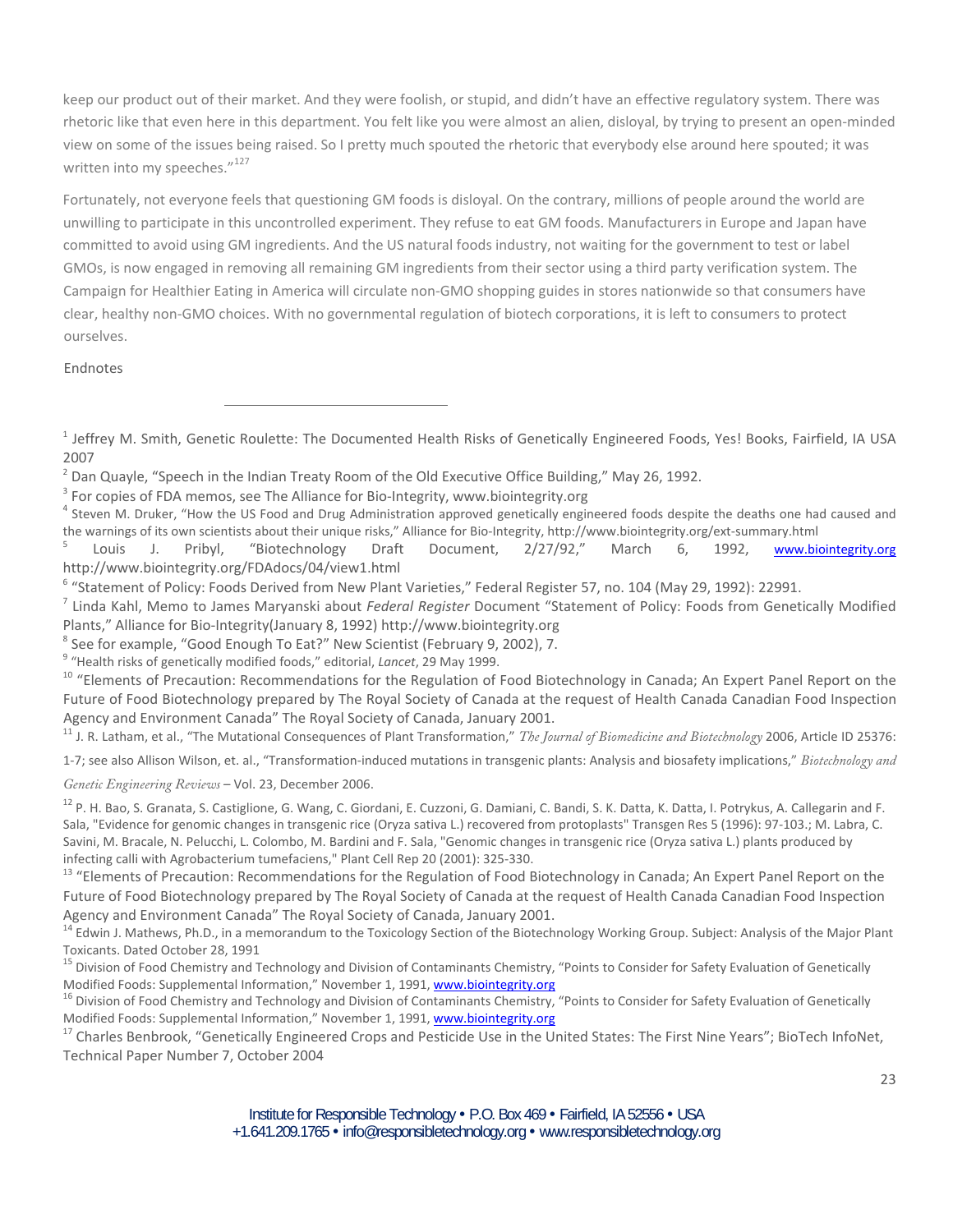<span id="page-22-1"></span>keep our product out of their market. And they were foolish, or stupid, and didn't have an effective regulatory system. There was rhetoric like that even here in this department. You felt like you were almost an alien, disloyal, by trying to present an open‐minded view on some of the issues being raised. So I pretty much spouted the rhetoric that everybody else around here spouted; it was written into my speeches."<sup>[127](#page-27-0)</sup>

Fortunately, not everyone feels that questioning GM foods is disloyal. On the contrary, millions of people around the world are unwilling to participate in this uncontrolled experiment. They refuse to eat GM foods. Manufacturers in Europe and Japan have committed to avoid using GM ingredients. And the US natural foods industry, not waiting for the government to test or label GMOs, is now engaged in removing all remaining GM ingredients from their sector using a third party verification system. The Campaign for Healthier Eating in America will circulate non‐GMO shopping guides in stores nationwide so that consumers have clear, healthy non‐GMO choices. With no governmental regulation of biotech corporations, it is left to consumers to protect ourselves.

Endnotes

<sup>8</sup> See for example, "Good Enough To Eat?" New Scientist (February 9, 2002), 7.<br><sup>9</sup> "Health risks of genetically modified foods," editorial, *Lancet*, 29 May 1999.

<sup>10</sup> "Elements of Precaution: Recommendations for the Regulation of Food Biotechnology in Canada; An Expert Panel Report on the Future of Food Biotechnology prepared by The Royal Society of Canada at the request of Health Canada Canadian Food Inspection Agency and Environment Canada" The Royal Society of Canada, January 2001.

<sup>11</sup> J. R. Latham, et al., "The Mutational Consequences of Plant Transformation," *The Journal of Biomedicine and Biotechnology* 2006, Article ID 25376:

1‐7; see also Allison Wilson, et. al., "Transformation‐induced mutations in transgenic plants: Analysis and biosafety implications," *Biotechnology and* 

*Genetic Engineering Reviews* – Vol. 23, December 2006.

<sup>12</sup> P. H. Bao, S. Granata, S. Castiglione, G. Wang, C. Giordani, E. Cuzzoni, G. Damiani, C. Bandi, S. K. Datta, K. Datta, I. Potrykus, A. Callegarin and F. Sala, "Evidence for genomic changes in transgenic rice (Oryza sativa L.) recovered from protoplasts" Transgen Res 5 (1996): 97‐103.; M. Labra, C. Savini, M. Bracale, N. Pelucchi, L. Colombo, M. Bardini and F. Sala, "Genomic changes in transgenic rice (Oryza sativa L.) plants produced by infecting calli with Agrobacterium tumefaciens," Plant Cell Rep 20 (2001): 325‐330.

<sup>13</sup> "Elements of Precaution: Recommendations for the Regulation of Food Biotechnology in Canada; An Expert Panel Report on the Future of Food Biotechnology prepared by The Royal Society of Canada at the request of Health Canada Canadian Food Inspection

Agency and Environment Canada" The Royal Society of Canada, January 2001.<br><sup>14</sup> Edwin J. Mathews, Ph.D., in a memorandum to the Toxicology Section of the Biotechnology Working Group. Subject: Analysis of the Major Plant<br>Tox

<sup>17</sup> Charles Benbrook, "Genetically Engineered Crops and Pesticide Use in the United States: The First Nine Years"; BioTech InfoNet, Technical Paper Number 7, October 2004

<span id="page-22-0"></span><sup>&</sup>lt;sup>1</sup> Jeffrey M. Smith, Genetic Roulette: The Documented Health Risks of Genetically Engineered Foods, Yes! Books, Fairfield, IA USA 2007

 $2$  Dan Quayle, "Speech in the Indian Treaty Room of the Old Executive Office Building," May 26, 1992.

<sup>&</sup>lt;sup>3</sup> For copies of FDA memos, see The Alliance for Bio-Integrity, [www.biointegrity.org](http://www.biointegrity.org/)<br><sup>4</sup> Steven M. Druker, "How the US Food and Drug Administration approved genetically engineered foods despite the deaths one had caused a the warnings of its own scientists about their unique risks," Alliance for Bio‐Integrity, http://www.biointegrity.org/ext‐summary.html

Louis J. Pribyl, "Biotechnology Draft Document, 2/27/92," March 6, 1992, [www.biointegrity.org](http://www.biointegrity.org/) http://www.biointegrity.org/FDAdocs/04/view1.html

<sup>6</sup> "Statement of Policy: Foods Derived from New Plant Varieties," Federal Register 57, no. 104 (May 29, 1992): 22991.

<sup>7</sup> Linda Kahl, Memo to James Maryanski about *Federal Register* Document "Statement of Policy: Foods from Genetically Modified Plants," Alliance for Bio-Integrity(January 8, 1992) http://[www.biointegrity.org](http://www.biointegrity.org/)

<sup>&</sup>lt;sup>15</sup> Division of Food Chemistry and Technology and Division of Contaminants Chemistry, "Points to Consider for Safety Evaluation of Genetically<br>Modified Foods: Supplemental Information," November 1, 1991, www.biointegrity.

 $16$  Division of Food Chemistry and Technology and Division of Contaminants Chemistry, "Points to Consider for Safety Evaluation of Genetically Modified Foods: Supplemental Information," November 1, 1991, [www.biointegrity.org](http://www.biointegrity.org/)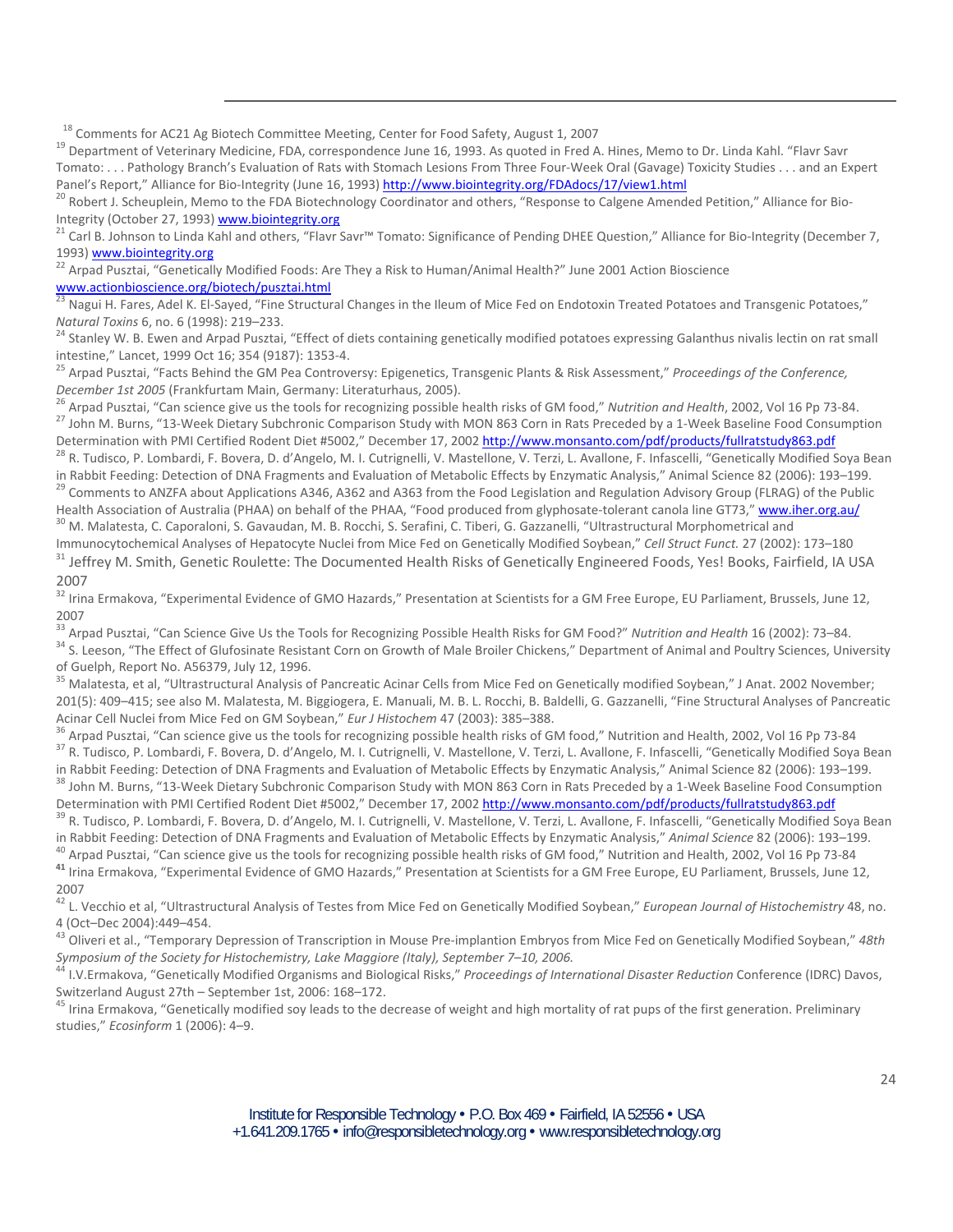<span id="page-23-0"></span><sup>18</sup> Comments for AC21 Ag Biotech Committee Meeting, Center for Food Safety, August 1, 2007<br><sup>19</sup> Department of Veterinary Medicine, FDA, correspondence June 16, 1993. As quoted in Fred A. Hines, Memo to Dr. Linda Kahl. "Fl Tomato: . . . Pathology Branch's Evaluation of Rats with Stomach Lesions From Three Four‐Week Oral (Gavage) Toxicity Studies . . . and an Expert Panel's Report," Alliance for Bio-Integrity (June 16, 1993) <http://www.biointegrity.org/FDAdocs/17/view1.html><br><sup>20</sup> Robert J. Scheuplein, Memo to the FDA Biotechnology Coordinator and others, "Response to Calgene Amended Pe

<u> La componenta de la componenta de la componenta de la componenta de la componenta de la componenta de la comp</u>

Integrity (October 27, 1993) [www.biointegrity.org](http://www.biointegrity.org/)<br><sup>21</sup> Carl B. Johnson to Linda Kahl and others, "Flavr Savr™ Tomato: Significance of Pending DHEE Question," Alliance for Bio-Integrity (December 7,

1993) <u>[www.biointegrity.org](http://www.biointegrity.org/)</u><br><sup>22</sup> Arpad Pusztai, "Genetically Modified Foods: Are They a Risk to Human/Animal Health?" June 2001 Action Bioscience

[www.actionbioscience.org/biotech/pusztai.html](http://www.actionbioscience.org/biotech/pusztai.html)<br><sup>23</sup> Nagui H. Fares, Adel K. El-Sayed, "Fine Structural Changes in the Ileum of Mice Fed on Endotoxin Treated Potatoes and Transgenic Potatoes," *Natural Toxins* 6, no. 6 (1998): 219–233.<br><sup>24</sup> Stanley W. B. Ewen and Arpad Pusztai, "Effect of diets containing genetically modified potatoes expressing Galanthus nivalis lectin on rat small

intestine," Lancet, 1999 Oct 16; 354 (9187): 1353-4.<br><sup>25</sup> Arpad Pusztai, "Facts Behind the GM Pea Controversy: Epigenetics, Transgenic Plants & Risk Assessment," *Proceedings of the Conference,* 

December 1st 2005 (Frankfurtam Main, Germany: Literaturhaus, 2005).<br><sup>26</sup> Arpad Pusztai, "Can science give us the tools for recognizing possible health risks of GM food," Nutrition and Health, 2002, Vol 16 Pp 73-84.<br><sup>27</sup> Jo

<sup>28</sup> R. Tudisco, P. Lombardi, F. Bovera, D. d'Angelo, M. I. Cutrignelli, V. Mastellone, V. Terzi, L. Avallone, F. Infascelli, "Genetically Modified Soya Bean in Rabbit Feeding: Detection of DNA Fragments and Evaluation of Metabolic Effects by Enzymatic Analysis," Animal Science 82 (2006): 193–199.<br><sup>29</sup> Comments to ANZFA about Applications A346, A362 and A363 from the Food Legis

Health Association of Australia (PHAA) on behalf of the PHAA, "Food produced from glyphosate-tolerant canola line GT73," [www.iher.org.au/](http://www.iher.org.au/)<br><sup>30</sup> M. Malatesta, C. Caporaloni, S. Gavaudan, M. B. Rocchi, S. Serafini, C. Tiberi,

Immunocytochemical Analyses of Hepatocyte Nuclei from Mice Fed on Genetically Modified Soybean," *Cell Struct Funct.* 27 (2002): 173–180  $31$  Jeffrey M. Smith, Genetic Roulette: The Documented Health Risks of Genetically Engineered Foods, Yes! Books, Fairfield, IA USA 2007

<sup>32</sup> Irina Ermakova, "Experimental Evidence of GMO Hazards," Presentation at Scientists for a GM Free Europe, EU Parliament, Brussels, June 12, 2007<br><sup>33</sup> Arpad Pusztai, "Can Science Give Us the Tools for Recognizing Possible Health Risks for GM Food?" *Nutrition and Health* 16 (2002): 73–84.

<sup>34</sup> S. Leeson, "The Effect of Glufosinate Resistant Corn on Growth of Male Broiler Chickens," Department of Animal and Poultry Sciences, University of Guelph, Report No. A56379, July 12, 1996.

<sup>35</sup> Malatesta, et al, "Ultrastructural Analysis of Pancreatic Acinar Cells from Mice Fed on Genetically modified Soybean," J Anat. 2002 November; 201(5): 409–415; see also M. Malatesta, M. Biggiogera, E. Manuali, M. B. L. Rocchi, B. Baldelli, G. Gazzanelli, "Fine Structural Analyses of Pancreatic

Acinar Cell Nuclei from Mice Fed on GM Soybean," *Eur J Histochem 47* (2003): 385–388.<br><sup>36</sup> Arpad Pusztai, "Can science give us the tools for recognizing possible health risks of GM food," Nutrition and Health, 2002, Vol 1 <sup>38</sup> John M. Burns, "13-Week Dietary Subchronic Comparison Study with MON 863 Corn in Rats Preceded by a 1-Week Baseline Food Consumption<br>Determination with PMI Certified Rodent Diet #5002," December 17, 2002 <u>http://www.m</u>

<sup>39</sup> R. Tudisco, P. Lombardi, F. Bovera, D. d'Angelo, M. I. Cutrignelli, V. Mastellone, V. Terzi, L. Avallone, F. Infascelli, "Genetically Modified Soya Bean in Rabbit Feeding: Detection of DNA Fragments and Evaluation of Metabolic Effects by Enzymatic Analysis," Animal Science 82 (2006): 193–199.<br><sup>40</sup> Arpad Pusztai, "Can science give us the tools for recognizing possible healt

2007

<sup>42</sup> L. Vecchio et al, "Ultrastructural Analysis of Testes from Mice Fed on Genetically Modified Soybean," *European Journal of Histochemistry* 48, no.

4 (Oct–Dec 2004):449–454.<br><sup>43</sup> Oliveri et al., "Temporary Depression of Transcription in Mouse Pre-implantion Embryos from Mice Fed on Genetically Modified Soybean," 48th<br>Symposium of the Society for Histochemistry, Lake M

<sup>44</sup> I.V. Ermakova, "Genetically Modified Organisms and Biological Risks," Proceedings of International Disaster Reduction Conference (IDRC) Davos,<br>Switzerland August 27th – September 1st, 2006: 168–172.

<sup>45</sup> Irina Ermakova, "Genetically modified soy leads to the decrease of weight and high mortality of rat pups of the first generation. Preliminary studies," *Ecosinform* 1 (2006): 4–9.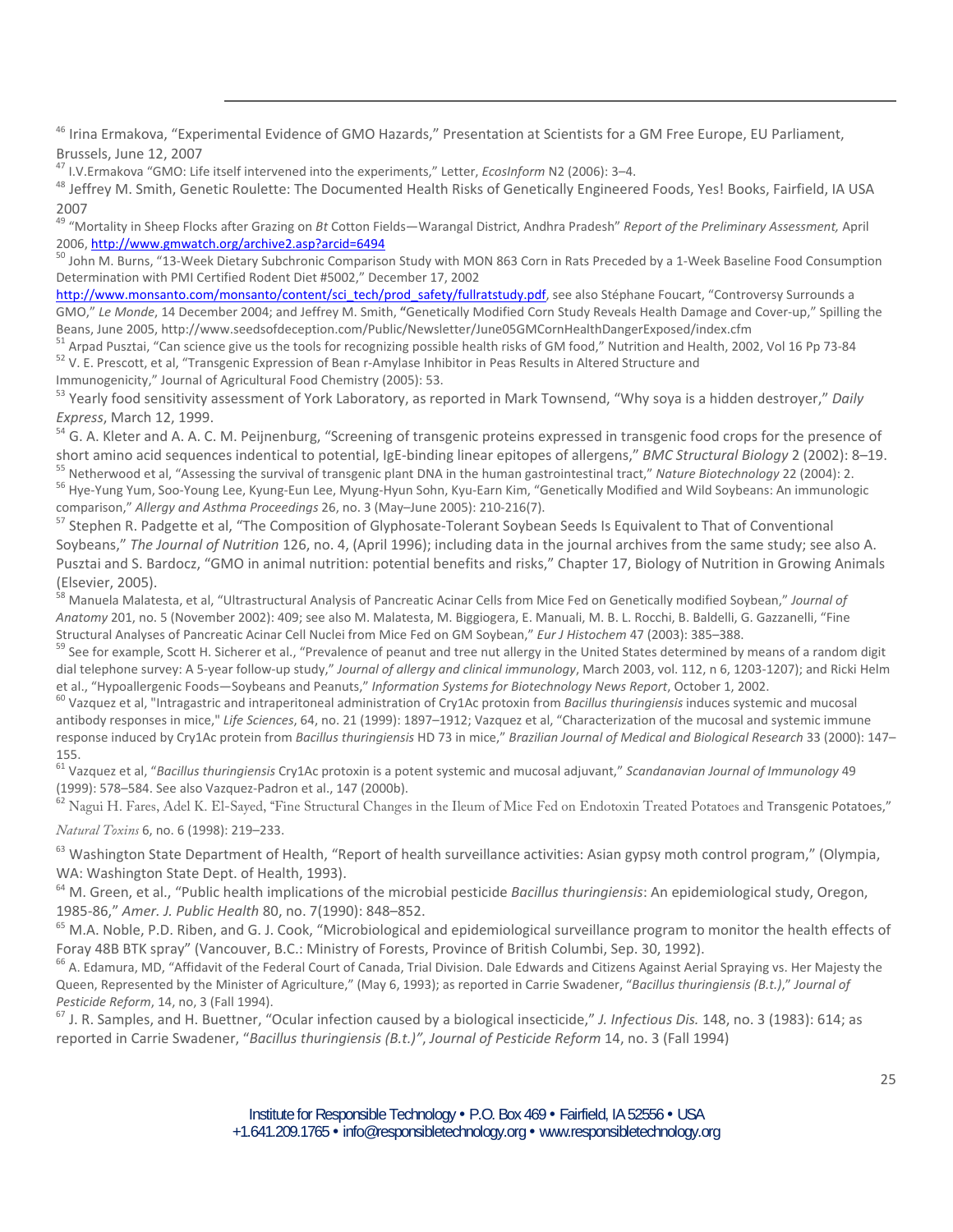<span id="page-24-0"></span><sup>46</sup> Irina Ermakova, "Experimental Evidence of GMO Hazards," Presentation at Scientists for a GM Free Europe, EU Parliament,

Brussels, June 12, 2007<br><sup>47</sup> I.V.Ermakova "GMO: Life itself intervened into the experiments," Letter, *EcosInform* N2 (2006): 3–4.

<sup>48</sup> Jeffrev M. Smith, Genetic Roulette: The Documented Health Risks of Genetically Engineered Foods, Yes! Books, Fairfield, IA USA 2007

<u> La componenta de la componenta de la componenta de la componenta de la componenta de la componenta de la comp</u>

<sup>49</sup> "Mortality in Sheep Flocks after Grazing on *Bt* Cotton Fields—Warangal District, Andhra Pradesh" *Report of the Preliminary Assessment,* April

<sup>50</sup> John M. Burns, "13‐Week Dietary Subchronic Comparison Study with MON 863 Corn in Rats Preceded by a 1‐Week Baseline Food Consumption Determination with PMI Certified Rodent Diet #5002," December 17, 2002

[http://www.monsanto.com/monsanto/content/sci\\_tech/prod\\_safety/fullratstudy.pdf,](http://www.monsanto.com/monsanto/content/sci_tech/prod_safety/fullratstudy.pdf) see also Stéphane Foucart, "Controversy Surrounds a GMO," *Le Monde*, 14 December 2004; and Jeffrey M. Smith, **"**Genetically Modified Corn Study Reveals Health Damage and Cover‐up," Spilling the

Beans, June 2005, http://www.seedsofdeception.com/Public/Newsletter/June05GMCornHealthDangerExposed/index.cfm<br><sup>51</sup> Arpad Pusztai, "Can science give us the tools for recognizing possible health risks of GM food," Nutrition

Immunogenicity," Journal of Agricultural Food Chemistry (2005): 53.

<sup>53</sup> Yearly food sensitivity assessment of York Laboratory, as reported in Mark Townsend, "Why soya is a hidden destroyer," *Daily Express*, March 12, 1999.

<sup>54</sup> G. A. Kleter and A. A. C. M. Peijnenburg, "Screening of transgenic proteins expressed in transgenic food crops for the presence of short amino acid sequences indentical to potential, IgE-binding linear epitopes of allergens," BMC Structural Biology 2 (2002): 8–19.<br><sup>55</sup> Netherwood et al, "Assessing the survival of transgenic plant DNA in the human gast comparison," *Allergy and Asthma Proceedings* 26, no. 3 (May–June 2005): 210‐216(7).

57 Stephen R. Padgette et al, "The Composition of Glyphosate-Tolerant Soybean Seeds Is Equivalent to That of Conventional Soybeans," *The Journal of Nutrition* 126, no. 4, (April 1996); including data in the journal archives from the same study; see also A. Pusztai and S. Bardocz, "GMO in animal nutrition: potential benefits and risks," Chapter 17, Biology of Nutrition in Growing Animals

(Elsevier, 2005).<br><sup>58</sup> Manuela Malatesta, et al, "Ultrastructural Analysis of Pancreatic Acinar Cells from Mice Fed on Genetically modified Soybean," Journal of *Anatomy* 201, no. 5 (November 2002): 409; see also M. Malatesta, M. Biggiogera, E. Manuali, M. B. L. Rocchi, B. Baldelli, G. Gazzanelli, "Fine

Structural Analyses of Pancreatic Acinar Cell Nuclei from Mice Fed on GM Soybean," *Eur J Histochem 47 (2003)*: 385–388.<br><sup>59</sup> See for example, Scott H. Sicherer et al., "Prevalence of peanut and tree nut allergy in the Uni dial telephone survey: A 5‐year follow‐up study," *Journal of allergy and clinical immunology*, March 2003, vol. 112, n 6, 1203‐1207); and Ricki Helm et al., "Hypoallergenic Foods—Soybeans and Peanuts," Information Systems for Biotechnology News Report, October 1, 2002.<br><sup>60</sup> Vazquez et al, "Intragastric and intraperitoneal administration of Cry1Ac protoxin from Bacillus

antibody responses in mice," *Life Sciences*, 64, no. 21 (1999): 1897–1912; Vazquez et al, "Characterization of the mucosal and systemic immune response induced by Cry1Ac protein from *Bacillus thuringiensis* HD 73 in mice," *Brazilian Journal of Medical and Biological Research* 33 (2000): 147– 155.

<sup>61</sup> Vazquez et al, "*Bacillus thuringiensis* Cry1Ac protoxin is a potent systemic and mucosal adjuvant," *Scandanavian Journal of Immunology* 49 (1999): 578–584. See also Vazquez‐Padron et al., 147 (2000b).

 $^{62}$  Nagui H. Fares, Adel K. El-Sayed, "Fine Structural Changes in the Ileum of Mice Fed on Endotoxin Treated Potatoes and Transgenic Potatoes,"

*Natural Toxins* 6, no. 6 (1998): 219–233.

 $63$  Washington State Department of Health, "Report of health surveillance activities: Asian gypsy moth control program," (Olympia, WA: Washington State Dept. of Health, 1993).

<sup>64</sup> M. Green, et al., "Public health implications of the microbial pesticide *Bacillus thuringiensis*: An epidemiological study, Oregon, 1985‐86," *Amer. J. Public Health* 80, no. 7(1990): 848–852.

<sup>65</sup> M.A. Noble, P.D. Riben, and G. J. Cook, "Microbiological and epidemiological surveillance program to monitor the health effects of Foray 48B BTK spray" (Vancouver, B.C.: Ministry of Forests, Province of British Columbi, Sep. 30, 1992).<br><sup>66</sup> A. Edamura, MD, "Affidavit of the Federal Court of Canada, Trial Division. Dale Edwards and Citizens Against Aer

Queen, Represented by the Minister of Agriculture," (May 6, 1993); as reported in Carrie Swadener, "*Bacillus thuringiensis (B.t.)*," *Journal of Pesticide Reform*, 14, no, 3 (Fall 1994).

<sup>67</sup> J. R. Samples, and H. Buettner, "Ocular infection caused by a biological insecticide," *J. Infectious Dis.* 148, no. 3 (1983): 614; as reported in Carrie Swadener, "*Bacillus thuringiensis (B.t.)"*, *Journal of Pesticide Reform* 14, no. 3 (Fall 1994)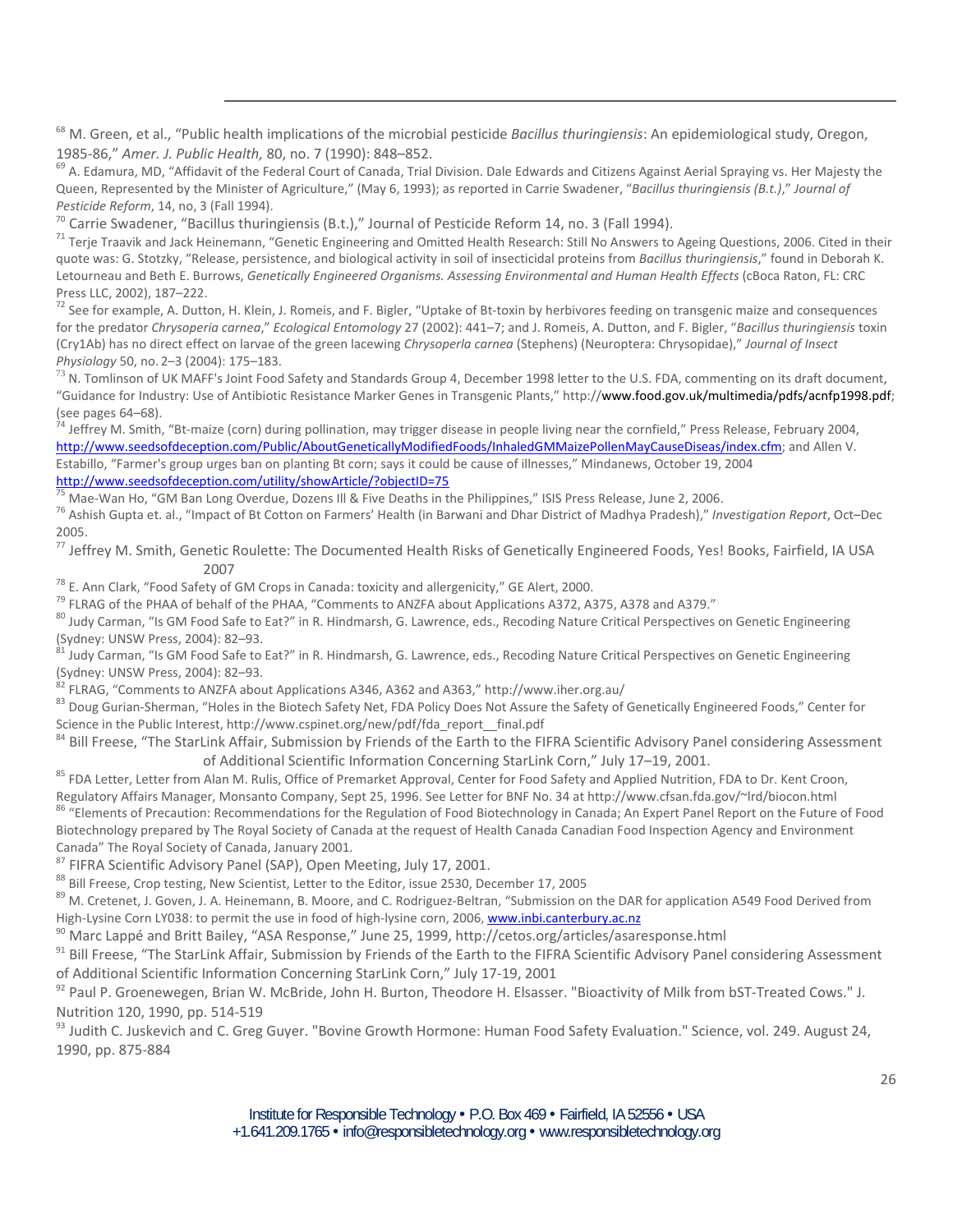<span id="page-25-0"></span><sup>68</sup> M. Green, et al., "Public health implications of the microbial pesticide *Bacillus thuringiensis*: An epidemiological study, Oregon, 1985-86," Amer. J. Public Health, 80, no. 7 (1990): 848–852.<br><sup>69</sup> A. Edamura, MD, "Affidavit of the Federal Court of Canada, Trial Division. Dale Edwards and Citizens Against Aerial Spraying vs. Her Majesty the

<u> La componenta de la componenta de la componenta de la componenta de la componenta de la componenta de la comp</u>

Queen, Represented by the Minister of Agriculture," (May 6, 1993); as reported in Carrie Swadener, "*Bacillus thuringiensis (B.t.)*," *Journal of* Pesticide *Reform*, 14, no, 3 (Fall 1994).<br><sup>70</sup> Carrie Swadener, "Bacillus thuringiensis (B.t.)," Journal of Pesticide Reform 14, no. 3 (Fall 1994).

<sup>71</sup> Terje Traavik and Jack Heinemann, "Genetic Engineering and Omitted Health Research: Still No Answers to Ageing Questions, 2006. Cited in their quote was: G. Stotzky, "Release, persistence, and biological activity in soil of insecticidal proteins from *Bacillus thuringiensis*," found in Deborah K. Letourneau and Beth E. Burrows, *Genetically Engineered Organisms. Assessing Environmental and Human Health Effects* (cBoca Raton, FL: CRC Press LLC, 2002), 187–222.<br><sup>72</sup> See for example, A. Dutton, H. Klein, J. Romeis, and F. Bigler, "Uptake of Bt‐toxin by herbivores feeding on transgenic maize and consequences

for the predator *Chrysoperia carnea*," *Ecological Entomology* 27 (2002): 441–7; and J. Romeis, A. Dutton, and F. Bigler, "*Bacillus thuringiensis* toxin (Cry1Ab) has no direct effect on larvae of the green lacewing *Chrysoperla carnea* (Stephens) (Neuroptera: Chrysopidae)," *Journal of Insect* Physiology 50, no. 2–3 (2004): 175–183.<br><sup>73</sup> N. Tomlinson of UK MAFF's Joint Food Safety and Standards Group 4, December 1998 letter to the U.S. FDA, commenting on its draft document,

"Guidance for Industry: Use of Antibiotic Resistance Marker Genes in Transgenic Plants," http://<mark>www.food.gov.uk/multimedia/pdfs/acnfp1998.pdf</mark>;<br>(see pages 64–68).

Ueffrey M. Smith, "Bt-maize (corn) during pollination, may trigger disease in people living near the cornfield," Press Release, February 2004, [http://www.seedsofdeception.com/Public/AboutGeneticallyModifiedFoods/InhaledGMMaizePollenMayCauseDiseas/index.cfm;](http://www.seedsofdeception.com/Public/AboutGeneticallyModifiedFoods/InhaledGMMaizePollenMayCauseDiseas/index.cfm) and Allen V. Estabillo, "Farmer's group urges ban on planting Bt corn; says it could be cause of illnesses," Mindanews, October 19, 2004 <http://www.seedsofdeception.com/utility/showArticle/?objectID=75><br><sup>75</sup> Mae-Wan Ho, "GM Ban Long Overdue, Dozens III & Five Deaths in the Philippines," ISIS Press Release, June 2, 2006.<br><sup>76</sup> Ashish Gupta et. al., "Impact of

2005.

<sup>77</sup> Jeffrev M. Smith, Genetic Roulette: The Documented Health Risks of Genetically Engineered Foods, Yes! Books, Fairfield, IA USA

2007<br><sup>78</sup> E. Ann Clark, "Food Safety of GM Crops in Canada: toxicity and allergenicity," GE Alert, 2000.<br><sup>79</sup> FLRAG of the PHAA of behalf of the PHAA, "Comments to ANZFA about Applications A372, A375, A378 and A379."<br><sup>80</sup>

<sup>81</sup> Judy Carman, "Is GM Food Safe to Eat?" in R. Hindmarsh, G. Lawrence, eds., Recoding Nature Critical Perspectives on Genetic Engineering (Sydney: UNSW Press, 2004): 82–93.

<sup>82</sup> FLRAG, "Comments to ANZFA about Applications A346, A362 and A363," http://www.iher.org.au/<br><sup>83</sup> Doug Gurian-Sherman, "Holes in the Biotech Safety Net, FDA Policy Does Not Assure the Safety of Genetically Engineered Fo Science in the Public Interest, http://www.cspinet.org/new/pdf/fda\_report\_final.pdf

<sup>84</sup> Bill Freese, "The StarLink Affair, Submission by Friends of the Earth to the FIFRA Scientific Advisory Panel considering Assessment

of Additional Scientific Information Concerning StarLink Corn," July 17–19, 2001.<br><sup>85</sup> FDA Letter, Letter from Alan M. Rulis, Office of Premarket Approval, Center for Food Safety and Applied Nutrition, FDA to Dr. Kent Croo <sup>86</sup> "Elements of Precaution: Recommendations for the Regulation of Food Biotechnology in Canada; An Expert Panel Report on the Future of Food Biotechnology prepared by The Royal Society of Canada at the request of Health Canada Canadian Food Inspection Agency and Environment

Canada" The Royal Society of Canada, January 2001.<br><sup>87</sup> FIFRA Scientific Advisory Panel (SAP), Open Meeting, July 17, 2001.

<sup>88</sup> Bill Freese, Crop testing, New Scientist, Letter to the Editor, issue 2530, December 17, 2005<br><sup>89</sup> M. Cretenet, J. Goven, J. A. Heinemann, B. Moore, and C. Rodriguez-Beltran, "Submission on the DAR for application A54 High-Lysine Corn LY038: to permit the use in food of high-lysine corn, 2006, [www.inbi.canterbury.ac.nz](http://www.inbi.canterbury.ac.nz/)

90 Marc Lappé and Britt Bailey, "ASA Response," June 25, 1999, <http://cetos.org/articles/asaresponse.html>

<sup>91</sup> Bill Freese, "The StarLink Affair, Submission by Friends of the Earth to the FIFRA Scientific Advisory Panel considering Assessment of Additional Scientific Information Concerning StarLink Corn," July 17‐19, 2001

 $92$  Paul P. Groenewegen, Brian W. McBride, John H. Burton, Theodore H. Elsasser. "Bioactivity of Milk from bST-Treated Cows." J. Nutrition 120, 1990, pp. 514‐519

<sup>93</sup> Judith C. Juskevich and C. Greg Guyer. "Bovine Growth Hormone: Human Food Safety Evaluation." Science, vol. 249. August 24, 1990, pp. 875‐884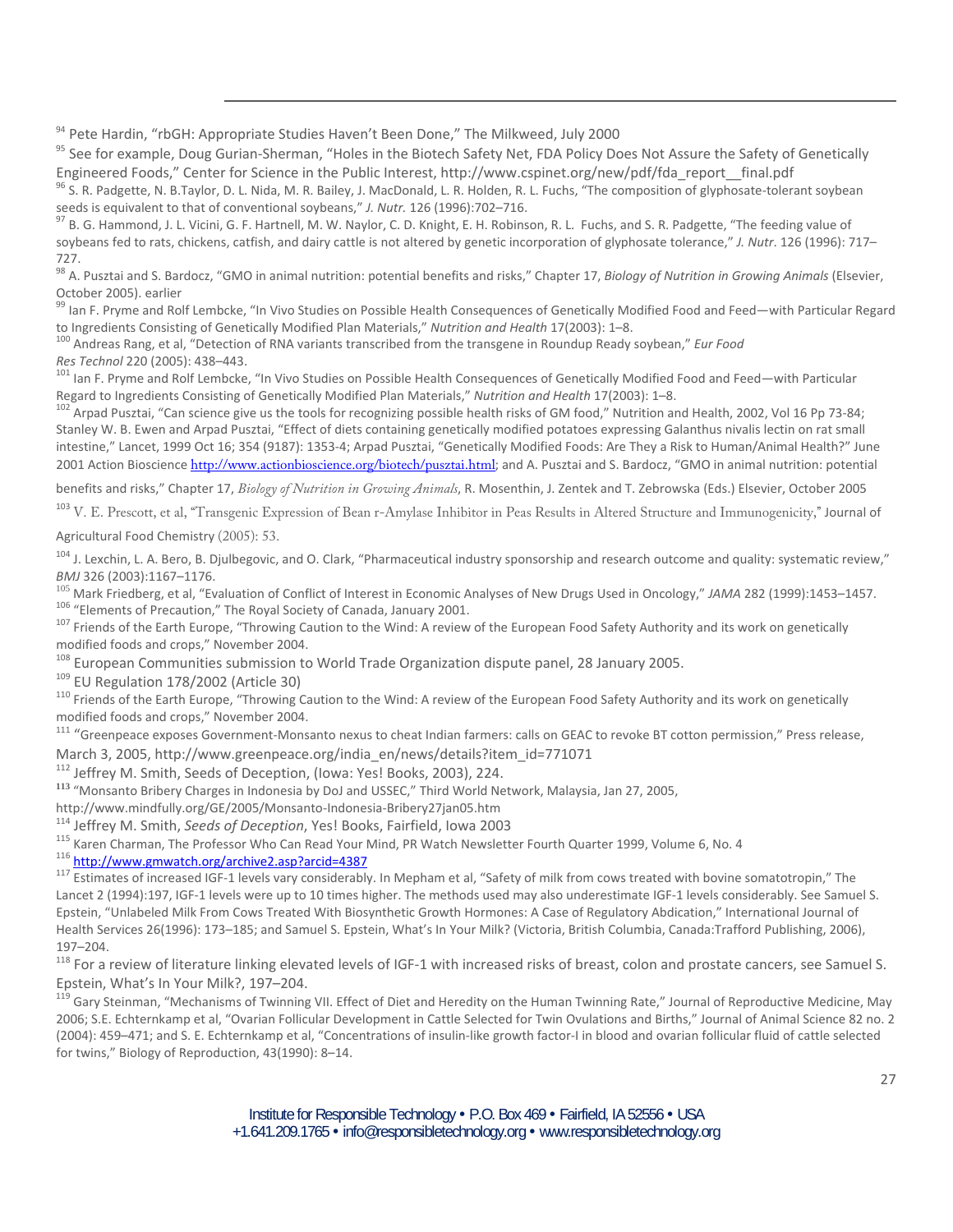<span id="page-26-0"></span><sup>94</sup> Pete Hardin, "rbGH: Appropriate Studies Haven't Been Done," The Milkweed, July 2000

<sup>95</sup> See for example, Doug Gurian-Sherman, "Holes in the Biotech Safety Net, FDA Policy Does Not Assure the Safety of Genetically<br>Engineered Foods," Center for Science in the Public Interest, http://www.cspinet.org/new/pdf

<u> La componenta de la componenta de la componenta de la componenta de la componenta de la componenta de la comp</u>

<sup>96</sup> S. R. Padgette, N. B.Taylor, D. L. Nida, M. R. Bailey, J. MacDonald, L. R. Holden, R. L. Fuchs, "The composition of glyphosate-tolerant soybean<br>seeds is equivalent to that of conventional soybeans," J. Nutr. 126 (1996

<sup>97</sup> B. G. Hammond, J. L. Vicini, G. F. Hartnell, M. W. Naylor, C. D. Knight, E. H. Robinson, R. L. Fuchs, and S. R. Padgette, "The feeding value of soybeans fed to rats, chickens, catfish, and dairy cattle is not altered by genetic incorporation of glyphosate tolerance," *J. Nutr*. 126 (1996): 717– 727.

<sup>98</sup> A. Pusztai and S. Bardocz, "GMO in animal nutrition: potential benefits and risks," Chapter 17, *Biology of Nutrition in Growing Animals* (Elsevier,

October 2005). earlier<br><sup>99</sup> Ian F. Pryme and Rolf Lembcke, "In Vivo Studies on Possible Health Consequences of Genetically Modified Food and Feed—with Particular Regard<br>to Ingredients Consisting of Genetically Modified Pla

<sup>100</sup> Andreas Rang, et al, "Detection of RNA variants transcribed from the transgene in Roundup Ready soybean," Eur Food

Res Technol 220 (2005): 438–443.<br><sup>101</sup> Ian F. Pryme and Rolf Lembcke, "In Vivo Studies on Possible Health Consequences of Genetically Modified Food and Feed—with Particular<br>Regard to Ingredients Consisting of Genetically M

Arpad Pusztai, "Can science give us the tools for recognizing possible health risks of GM food," Nutrition and Health, 2002, Vol 16 Pp 73-84; Stanley W. B. Ewen and Arpad Pusztai, "Effect of diets containing genetically modified potatoes expressing Galanthus nivalis lectin on rat small intestine," Lancet, 1999 Oct 16; 354 (9187): 1353‐4; Arpad Pusztai, "Genetically Modified Foods: Are They a Risk to Human/Animal Health?" June 2001 Action Bioscience <http://www.actionbioscience.org/biotech/pusztai.html>; and A. Pusztai and S. Bardocz, "GMO in animal nutrition: potential

benefits and risks," Chapter 17, *Biology of Nutrition in Growing Animals*, R. Mosenthin, J. Zentek and T. Zebrowska (Eds.) Elsevier, October 2005

<sup>103</sup> V. E. Prescott, et al, "Transgenic Expression of Bean r-Amylase Inhibitor in Peas Results in Altered Structure and Immunogenicity," Journal of

Agricultural Food Chemistry (2005): 53.

<sup>104</sup> J. Lexchin, L. A. Bero, B. Djulbegovic, and O. Clark, "Pharmaceutical industry sponsorship and research outcome and quality: systematic review,"<br>BMJ 326 (2003):1167–1176.

<sup>105</sup> Mark Friedberg, et al, "Evaluation of Conflict of Interest in Economic Analyses of New Drugs Used in Oncology," JAMA 282 (1999):1453–1457.<br><sup>106</sup> "Elements of Precaution," The Royal Society of Canada, January 2001.<br><sup>1</sup>

modified foods and crops," November 2004.

<sup>108</sup> European Communities submission to World Trade Organization dispute panel, 28 January 2005.

<sup>109</sup> EU Regulation 178/2002 (Article 30)<br><sup>110</sup> Friends of the Earth Europe, "Throwing Caution to the Wind: A review of the European Food Safety Authority and its work on genetically modified foods and crops," November 2004.

<sup>111</sup> "Greenpeace exposes Government-Monsanto nexus to cheat Indian farmers: calls on GEAC to revoke BT cotton permission," Press release,

March 3, 2005, [http://www.greenpeace.org/india\\_en/news/details?item\\_id=771071](http://www.greenpeace.org/india_en/news/details?item_id=771071)

<sup>112</sup> Jeffrey M. Smith, Seeds of Deception, (Iowa: Yes! Books, 2003), 224.<br><sup>113</sup> "Monsanto Bribery Charges in Indonesia by DoJ and USSEC," Third World Network, Malaysia, Jan 27, 2005,

[http://www.mindfully.org/GE/2005/Monsanto](http://www.mindfully.org/GE/2005/Monsanto-Indonesia-Bribery27jan05.htm)-Indonesia-Bribery27jan05.htm<br><sup>114</sup> Jeffrey M. Smith, *Seeds of Deception*, Yes! Books, Fairfield, Iowa 2003

<sup>115</sup> Karen Charman, The Professor Who Can Read Your Mind, PR Watch Newsletter Fourth Quarter 1999, Volume 6, No. 4<br><sup>116</sup> <http://www.gmwatch.org/archive2.asp?arcid=4387><br><sup>117</sup> Estimates of increased IGF-1 levels vary consid Lancet 2 (1994):197, IGF-1 levels were up to 10 times higher. The methods used may also underestimate IGF-1 levels considerably. See Samuel S. Epstein, "Unlabeled Milk From Cows Treated With Biosynthetic Growth Hormones: A Case of Regulatory Abdication," International Journal of Health Services 26(1996): 173–185; and Samuel S. Epstein, What's In Your Milk? (Victoria, British Columbia, Canada:Trafford Publishing, 2006), 197–204.

118 For a review of literature linking elevated levels of IGF-1 with increased risks of breast, colon and prostate cancers, see Samuel S. Epstein, What's In Your Milk?, 197–204.<br><sup>119</sup> Gary Steinman, "Mechanisms of Twinning VII. Effect of Diet and Heredity on the Human Twinning Rate," Journal of Reproductive Medicine, May

2006; S.E. Echternkamp et al, "Ovarian Follicular Development in Cattle Selected for Twin Ovulations and Births," Journal of Animal Science 82 no. 2 (2004): 459–471; and S. E. Echternkamp et al, "Concentrations of insulin‐like growth factor‐I in blood and ovarian follicular fluid of cattle selected for twins," Biology of Reproduction, 43(1990): 8–14.